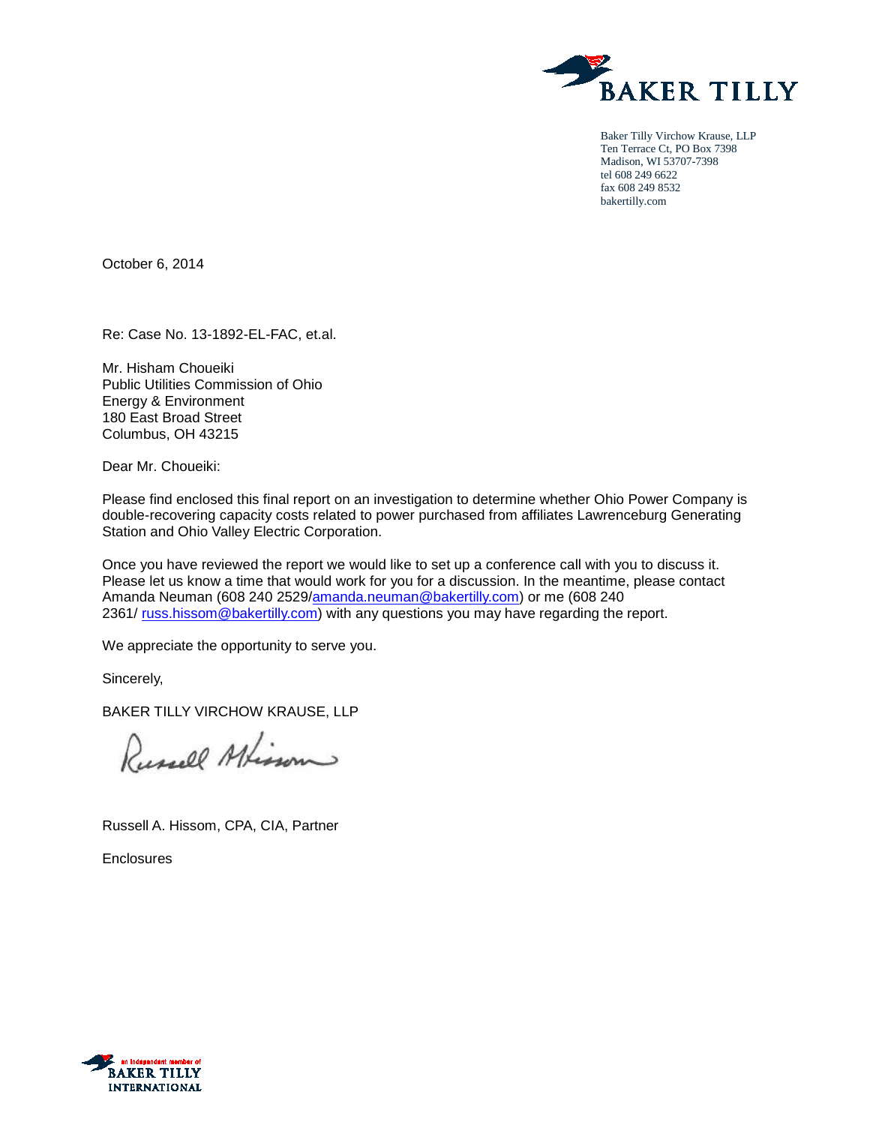

Baker Tilly Virchow Krause, LLP Ten Terrace Ct, PO Box 7398 Madison, WI 53707-7398 tel 608 249 6622 fax 608 249 8532 bakertilly.com

October 6, 2014

Re: Case No. 13-1892-EL-FAC, et.al.

Mr. Hisham Choueiki Public Utilities Commission of Ohio Energy & Environment 180 East Broad Street Columbus, OH 43215

Dear Mr. Choueiki:

Please find enclosed this final report on an investigation to determine whether Ohio Power Company is double-recovering capacity costs related to power purchased from affiliates Lawrenceburg Generating Station and Ohio Valley Electric Corporation.

Once you have reviewed the report we would like to set up a conference call with you to discuss it. Please let us know a time that would work for you for a discussion. In the meantime, please contact Amanda Neuman (608 240 2529[/amanda.neuman@bakertilly.com\)](mailto:amanda.neuman@bakertilly.com) or me (608 240 2361/ [russ.hissom@bakertilly.com\)](mailto:russ.hissom@bakertilly.com) with any questions you may have regarding the report.

We appreciate the opportunity to serve you.

Sincerely,

BAKER TILLY VIRCHOW KRAUSE, LLP

Russell Afisson

Russell A. Hissom, CPA, CIA, Partner

Enclosures

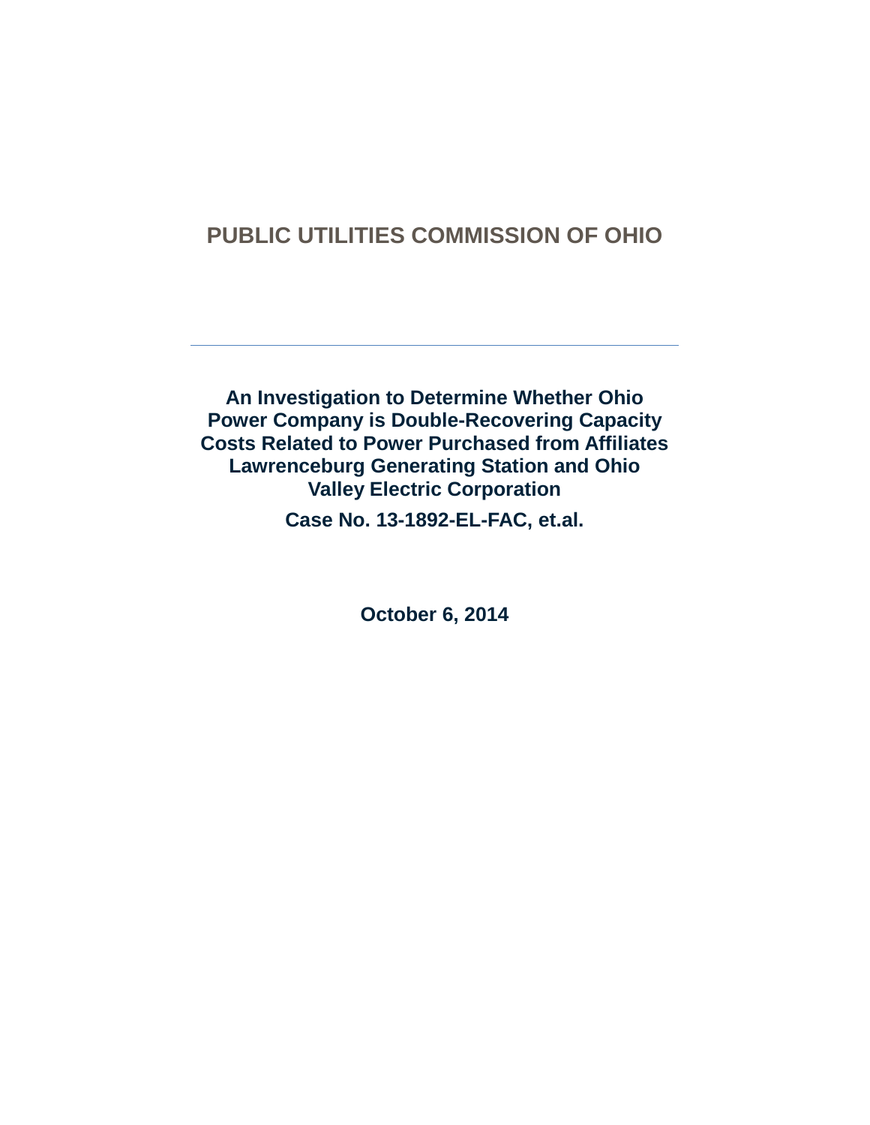**An Investigation to Determine Whether Ohio Power Company is Double-Recovering Capacity Costs Related to Power Purchased from Affiliates Lawrenceburg Generating Station and Ohio Valley Electric Corporation**

**Case No. 13-1892-EL-FAC, et.al.**

**October 6, 2014**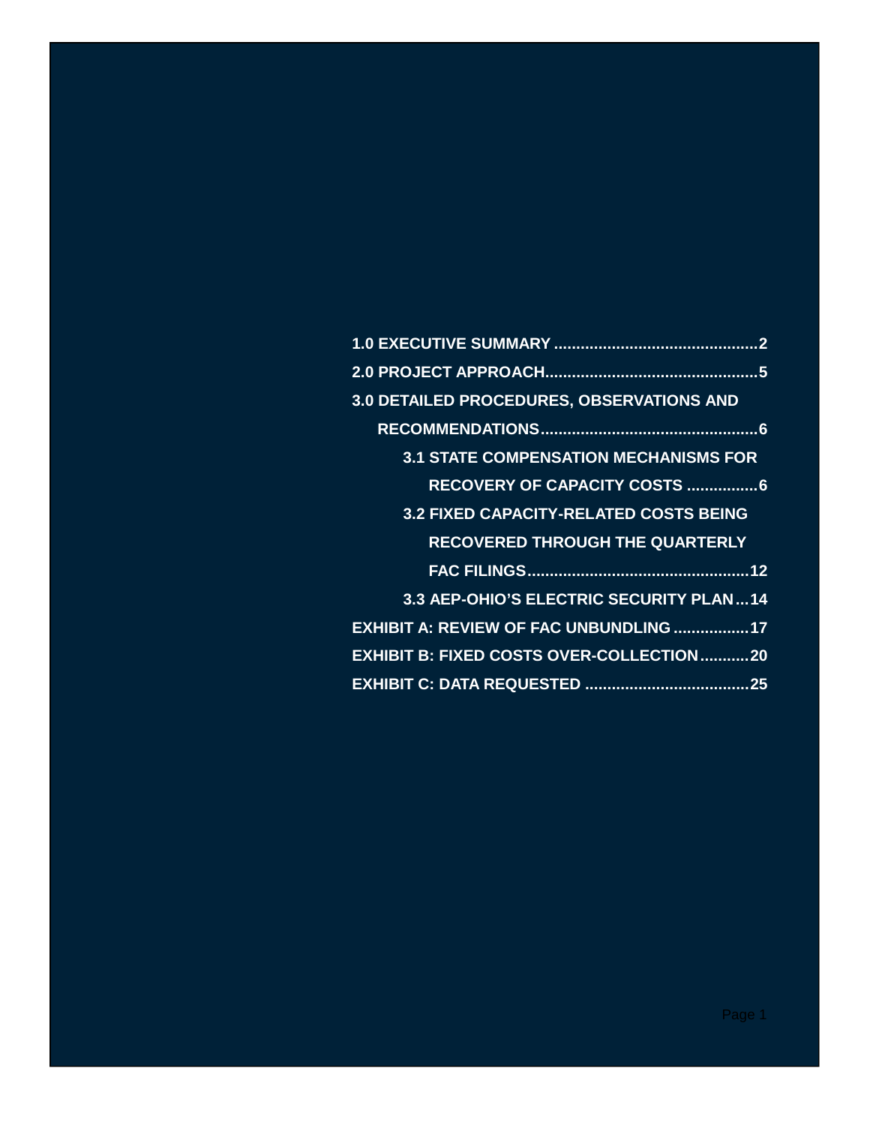| 3.0 DETAILED PROCEDURES, OBSERVATIONS AND       |
|-------------------------------------------------|
|                                                 |
| <b>3.1 STATE COMPENSATION MECHANISMS FOR</b>    |
| RECOVERY OF CAPACITY COSTS 6                    |
| <b>3.2 FIXED CAPACITY-RELATED COSTS BEING</b>   |
| <b>RECOVERED THROUGH THE QUARTERLY</b>          |
|                                                 |
| 3.3 AEP-OHIO'S ELECTRIC SECURITY PLAN14         |
| <b>EXHIBIT A: REVIEW OF FAC UNBUNDLING 17</b>   |
| <b>EXHIBIT B: FIXED COSTS OVER-COLLECTION20</b> |
|                                                 |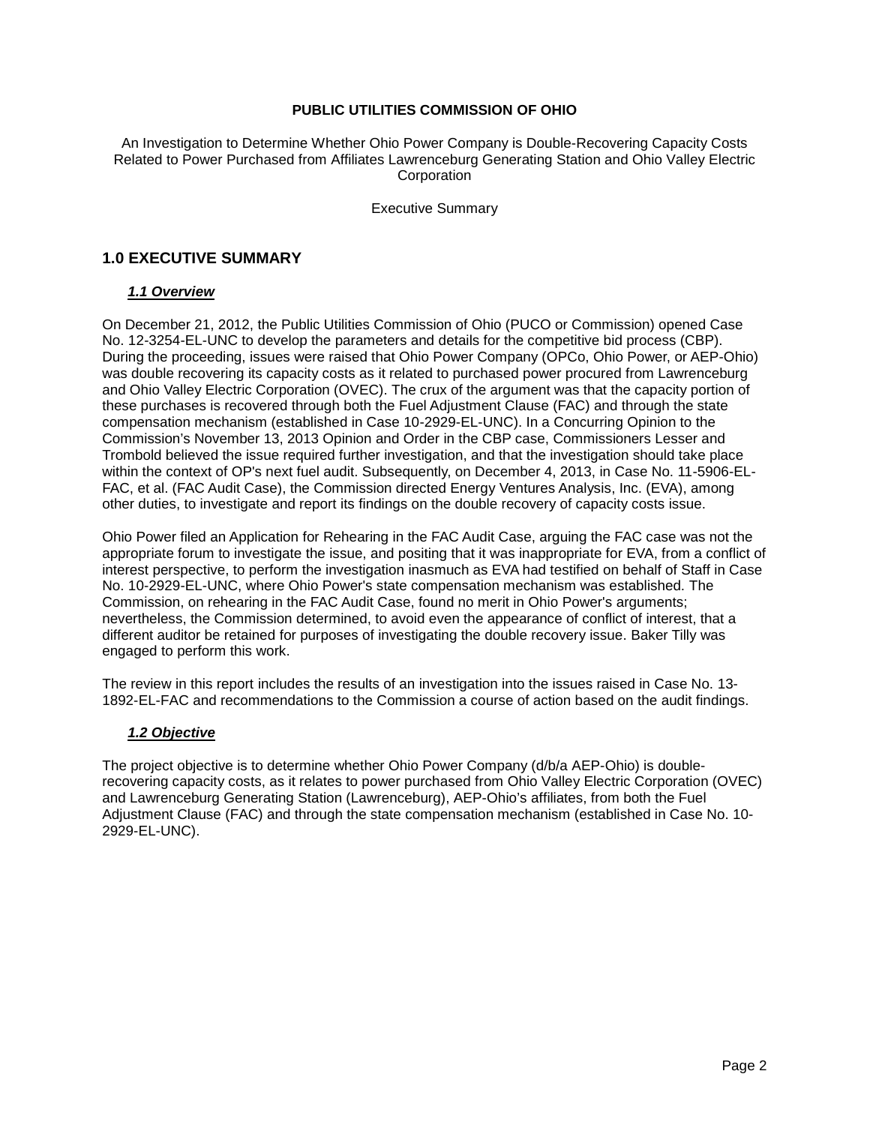An Investigation to Determine Whether Ohio Power Company is Double-Recovering Capacity Costs Related to Power Purchased from Affiliates Lawrenceburg Generating Station and Ohio Valley Electric **Corporation** 

Executive Summary

## **1.0 EXECUTIVE SUMMARY**

### *1.1 Overview*

On December 21, 2012, the Public Utilities Commission of Ohio (PUCO or Commission) opened Case No. 12-3254-EL-UNC to develop the parameters and details for the competitive bid process (CBP). During the proceeding, issues were raised that Ohio Power Company (OPCo, Ohio Power, or AEP-Ohio) was double recovering its capacity costs as it related to purchased power procured from Lawrenceburg and Ohio Valley Electric Corporation (OVEC). The crux of the argument was that the capacity portion of these purchases is recovered through both the Fuel Adjustment Clause (FAC) and through the state compensation mechanism (established in Case 10-2929-EL-UNC). In a Concurring Opinion to the Commission's November 13, 2013 Opinion and Order in the CBP case, Commissioners Lesser and Trombold believed the issue required further investigation, and that the investigation should take place within the context of OP's next fuel audit. Subsequently, on December 4, 2013, in Case No. 11-5906-EL-FAC, et al. (FAC Audit Case), the Commission directed Energy Ventures Analysis, Inc. (EVA), among other duties, to investigate and report its findings on the double recovery of capacity costs issue.

Ohio Power filed an Application for Rehearing in the FAC Audit Case, arguing the FAC case was not the appropriate forum to investigate the issue, and positing that it was inappropriate for EVA, from a conflict of interest perspective, to perform the investigation inasmuch as EVA had testified on behalf of Staff in Case No. 10-2929-EL-UNC, where Ohio Power's state compensation mechanism was established. The Commission, on rehearing in the FAC Audit Case, found no merit in Ohio Power's arguments; nevertheless, the Commission determined, to avoid even the appearance of conflict of interest, that a different auditor be retained for purposes of investigating the double recovery issue. Baker Tilly was engaged to perform this work.

The review in this report includes the results of an investigation into the issues raised in Case No. 13- 1892-EL-FAC and recommendations to the Commission a course of action based on the audit findings.

#### *1.2 Objective*

The project objective is to determine whether Ohio Power Company (d/b/a AEP-Ohio) is doublerecovering capacity costs, as it relates to power purchased from Ohio Valley Electric Corporation (OVEC) and Lawrenceburg Generating Station (Lawrenceburg), AEP-Ohio's affiliates, from both the Fuel Adjustment Clause (FAC) and through the state compensation mechanism (established in Case No. 10- 2929-EL-UNC).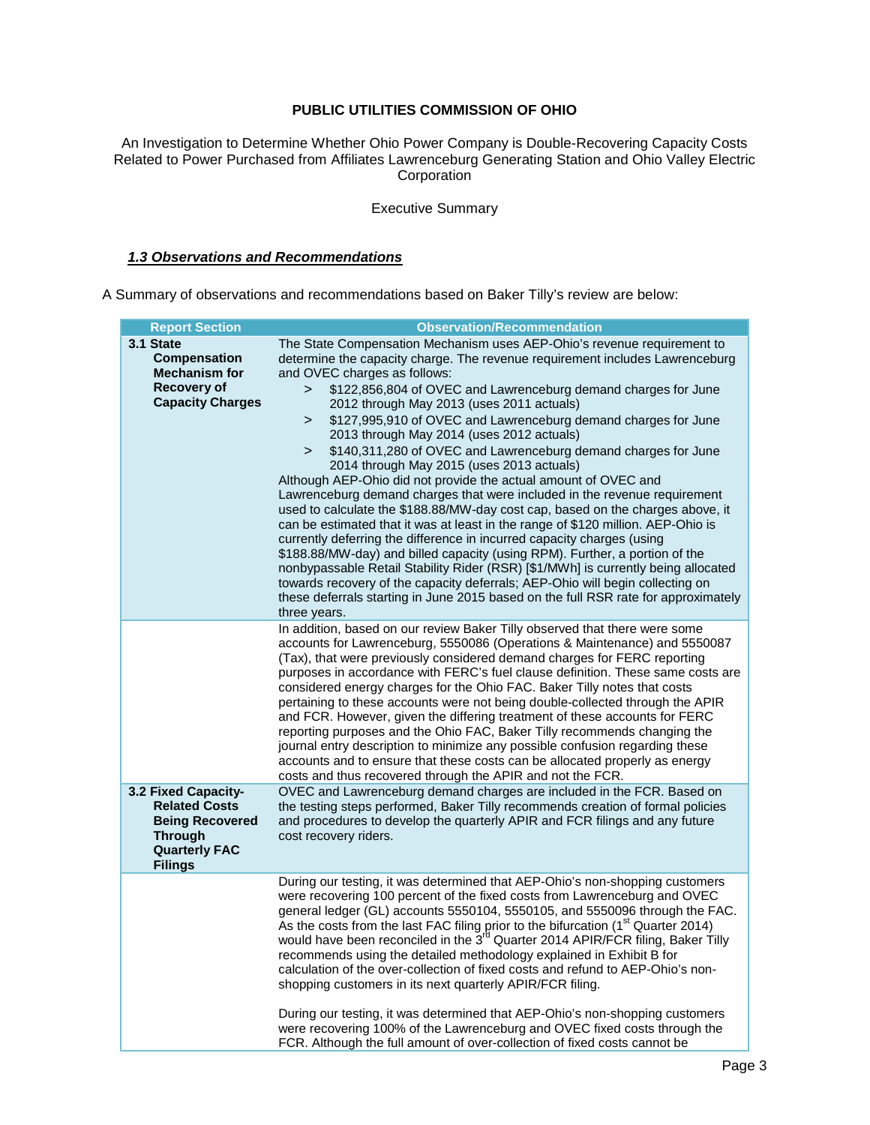An Investigation to Determine Whether Ohio Power Company is Double-Recovering Capacity Costs Related to Power Purchased from Affiliates Lawrenceburg Generating Station and Ohio Valley Electric **Corporation** 

### Executive Summary

### *1.3 Observations and Recommendations*

A Summary of observations and recommendations based on Baker Tilly's review are below:

| <b>Report Section</b>                                                                                                             | <b>Observation/Recommendation</b>                                                                                                                                                                                                                                                                                                                                                                                                                                                                                                                                                                                                                                                                                                                                                                                                                                                                                                                                                                                                                                                                                                                                                                                                                                                                                        |
|-----------------------------------------------------------------------------------------------------------------------------------|--------------------------------------------------------------------------------------------------------------------------------------------------------------------------------------------------------------------------------------------------------------------------------------------------------------------------------------------------------------------------------------------------------------------------------------------------------------------------------------------------------------------------------------------------------------------------------------------------------------------------------------------------------------------------------------------------------------------------------------------------------------------------------------------------------------------------------------------------------------------------------------------------------------------------------------------------------------------------------------------------------------------------------------------------------------------------------------------------------------------------------------------------------------------------------------------------------------------------------------------------------------------------------------------------------------------------|
| 3.1 State<br><b>Compensation</b><br><b>Mechanism for</b><br><b>Recovery of</b><br><b>Capacity Charges</b>                         | The State Compensation Mechanism uses AEP-Ohio's revenue requirement to<br>determine the capacity charge. The revenue requirement includes Lawrenceburg<br>and OVEC charges as follows:<br>\$122,856,804 of OVEC and Lawrenceburg demand charges for June<br>$\geq$<br>2012 through May 2013 (uses 2011 actuals)<br>\$127,995,910 of OVEC and Lawrenceburg demand charges for June<br>><br>2013 through May 2014 (uses 2012 actuals)<br>\$140,311,280 of OVEC and Lawrenceburg demand charges for June<br>$\geq$<br>2014 through May 2015 (uses 2013 actuals)<br>Although AEP-Ohio did not provide the actual amount of OVEC and<br>Lawrenceburg demand charges that were included in the revenue requirement<br>used to calculate the \$188.88/MW-day cost cap, based on the charges above, it<br>can be estimated that it was at least in the range of \$120 million. AEP-Ohio is<br>currently deferring the difference in incurred capacity charges (using<br>\$188.88/MW-day) and billed capacity (using RPM). Further, a portion of the<br>nonbypassable Retail Stability Rider (RSR) [\$1/MWh] is currently being allocated<br>towards recovery of the capacity deferrals; AEP-Ohio will begin collecting on<br>these deferrals starting in June 2015 based on the full RSR rate for approximately<br>three years. |
|                                                                                                                                   | In addition, based on our review Baker Tilly observed that there were some<br>accounts for Lawrenceburg, 5550086 (Operations & Maintenance) and 5550087<br>(Tax), that were previously considered demand charges for FERC reporting<br>purposes in accordance with FERC's fuel clause definition. These same costs are<br>considered energy charges for the Ohio FAC. Baker Tilly notes that costs<br>pertaining to these accounts were not being double-collected through the APIR<br>and FCR. However, given the differing treatment of these accounts for FERC<br>reporting purposes and the Ohio FAC, Baker Tilly recommends changing the<br>journal entry description to minimize any possible confusion regarding these<br>accounts and to ensure that these costs can be allocated properly as energy<br>costs and thus recovered through the APIR and not the FCR.                                                                                                                                                                                                                                                                                                                                                                                                                                               |
| 3.2 Fixed Capacity-<br><b>Related Costs</b><br><b>Being Recovered</b><br><b>Through</b><br><b>Quarterly FAC</b><br><b>Filings</b> | OVEC and Lawrenceburg demand charges are included in the FCR. Based on<br>the testing steps performed, Baker Tilly recommends creation of formal policies<br>and procedures to develop the quarterly APIR and FCR filings and any future<br>cost recovery riders.                                                                                                                                                                                                                                                                                                                                                                                                                                                                                                                                                                                                                                                                                                                                                                                                                                                                                                                                                                                                                                                        |
|                                                                                                                                   | During our testing, it was determined that AEP-Ohio's non-shopping customers<br>were recovering 100 percent of the fixed costs from Lawrenceburg and OVEC<br>general ledger (GL) accounts 5550104, 5550105, and 5550096 through the FAC.<br>As the costs from the last FAC filing prior to the bifurcation (1 <sup>st</sup> Quarter 2014)<br>would have been reconciled in the 3 <sup>rd</sup> Quarter 2014 APIR/FCR filing, Baker Tilly<br>recommends using the detailed methodology explained in Exhibit B for<br>calculation of the over-collection of fixed costs and refund to AEP-Ohio's non-<br>shopping customers in its next quarterly APIR/FCR filing.<br>During our testing, it was determined that AEP-Ohio's non-shopping customers<br>were recovering 100% of the Lawrenceburg and OVEC fixed costs through the<br>FCR. Although the full amount of over-collection of fixed costs cannot be                                                                                                                                                                                                                                                                                                                                                                                                               |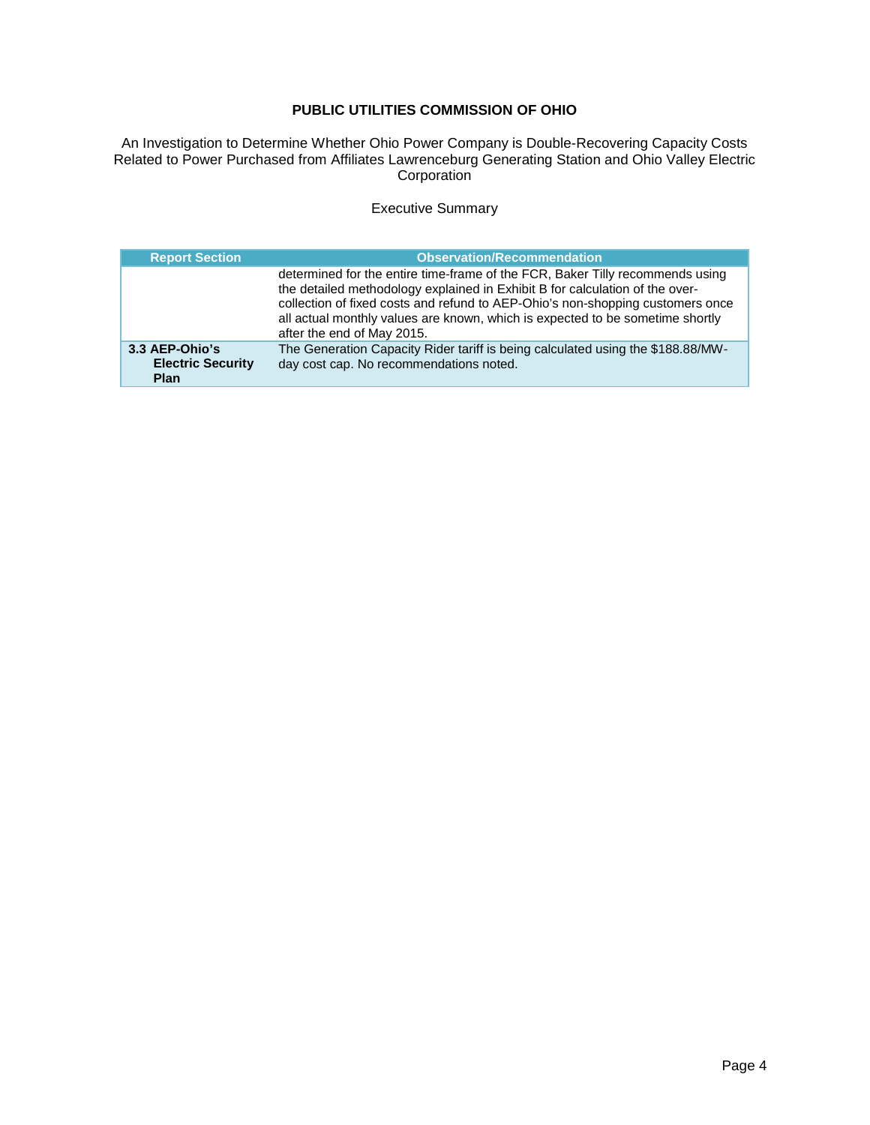An Investigation to Determine Whether Ohio Power Company is Double-Recovering Capacity Costs Related to Power Purchased from Affiliates Lawrenceburg Generating Station and Ohio Valley Electric Corporation

### Executive Summary

| <b>Report Section</b>                                     | <b>Observation/Recommendation</b>                                                                                                                                                                                                                                                                                                                              |
|-----------------------------------------------------------|----------------------------------------------------------------------------------------------------------------------------------------------------------------------------------------------------------------------------------------------------------------------------------------------------------------------------------------------------------------|
|                                                           | determined for the entire time-frame of the FCR, Baker Tilly recommends using<br>the detailed methodology explained in Exhibit B for calculation of the over-<br>collection of fixed costs and refund to AEP-Ohio's non-shopping customers once<br>all actual monthly values are known, which is expected to be sometime shortly<br>after the end of May 2015. |
| 3.3 AEP-Ohio's<br><b>Electric Security</b><br><b>Plan</b> | The Generation Capacity Rider tariff is being calculated using the \$188.88/MW-<br>day cost cap. No recommendations noted.                                                                                                                                                                                                                                     |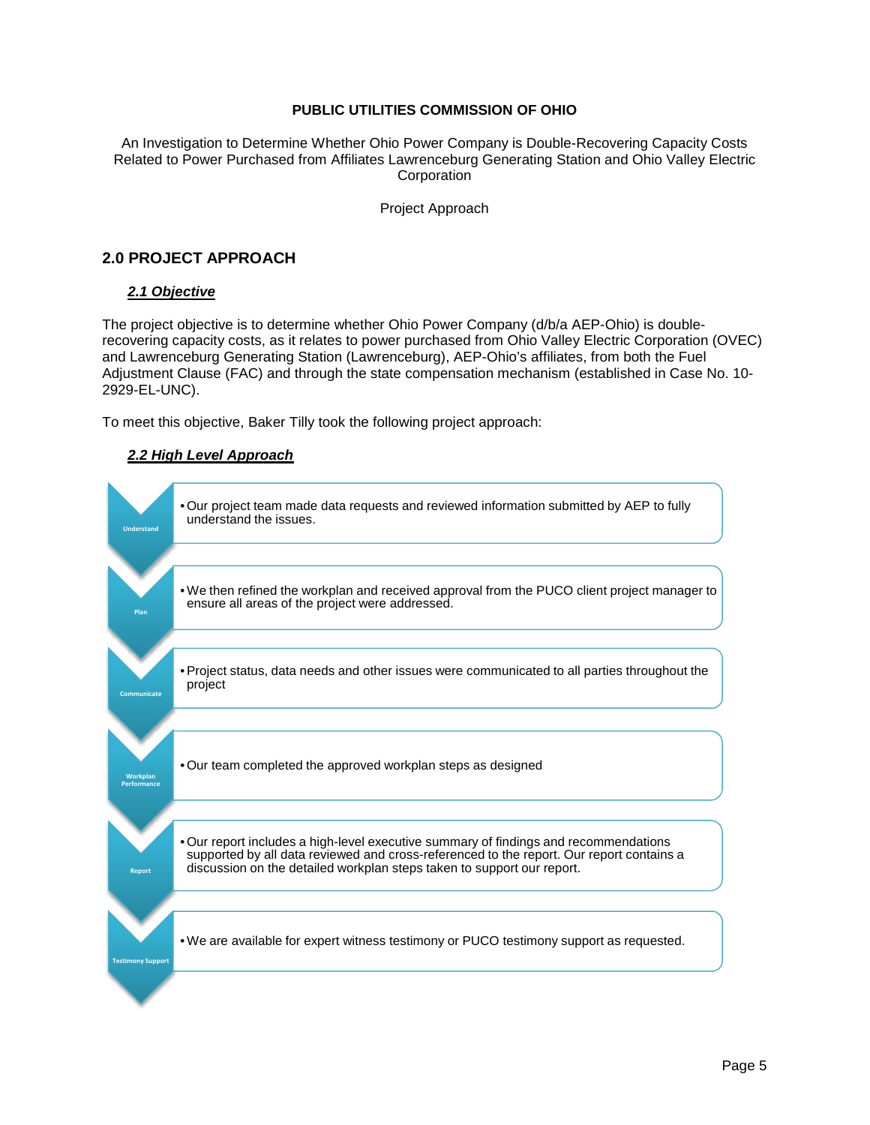An Investigation to Determine Whether Ohio Power Company is Double-Recovering Capacity Costs Related to Power Purchased from Affiliates Lawrenceburg Generating Station and Ohio Valley Electric **Corporation** 

Project Approach

## **2.0 PROJECT APPROACH**

### *2.1 Objective*

The project objective is to determine whether Ohio Power Company (d/b/a AEP-Ohio) is doublerecovering capacity costs, as it relates to power purchased from Ohio Valley Electric Corporation (OVEC) and Lawrenceburg Generating Station (Lawrenceburg), AEP-Ohio's affiliates, from both the Fuel Adjustment Clause (FAC) and through the state compensation mechanism (established in Case No. 10- 2929-EL-UNC).

To meet this objective, Baker Tilly took the following project approach:

### *2.2 High Level Approach*

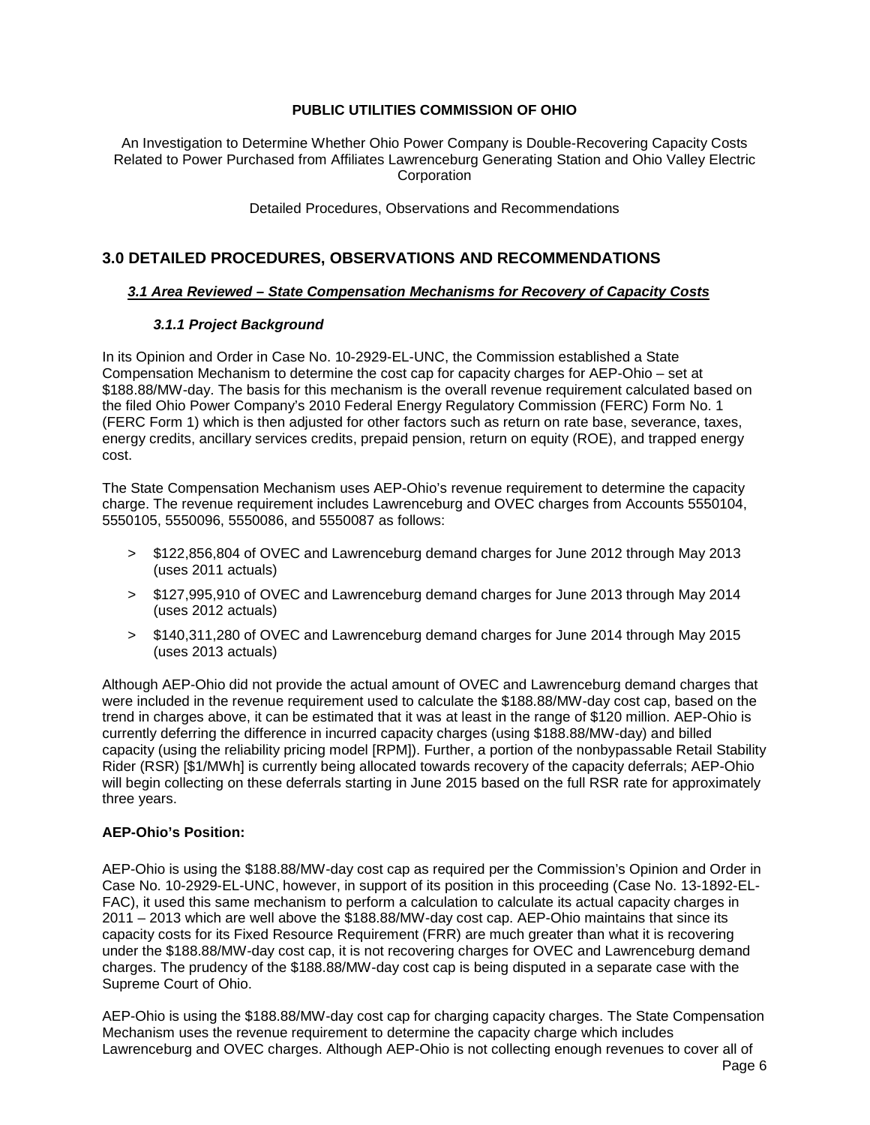An Investigation to Determine Whether Ohio Power Company is Double-Recovering Capacity Costs Related to Power Purchased from Affiliates Lawrenceburg Generating Station and Ohio Valley Electric **Corporation** 

Detailed Procedures, Observations and Recommendations

## **3.0 DETAILED PROCEDURES, OBSERVATIONS AND RECOMMENDATIONS**

### *3.1 Area Reviewed – State Compensation Mechanisms for Recovery of Capacity Costs*

### *3.1.1 Project Background*

In its Opinion and Order in Case No. 10-2929-EL-UNC, the Commission established a State Compensation Mechanism to determine the cost cap for capacity charges for AEP-Ohio – set at \$188.88/MW-day. The basis for this mechanism is the overall revenue requirement calculated based on the filed Ohio Power Company's 2010 Federal Energy Regulatory Commission (FERC) Form No. 1 (FERC Form 1) which is then adjusted for other factors such as return on rate base, severance, taxes, energy credits, ancillary services credits, prepaid pension, return on equity (ROE), and trapped energy cost.

The State Compensation Mechanism uses AEP-Ohio's revenue requirement to determine the capacity charge. The revenue requirement includes Lawrenceburg and OVEC charges from Accounts 5550104, 5550105, 5550096, 5550086, and 5550087 as follows:

- > \$122,856,804 of OVEC and Lawrenceburg demand charges for June 2012 through May 2013 (uses 2011 actuals)
- > \$127,995,910 of OVEC and Lawrenceburg demand charges for June 2013 through May 2014 (uses 2012 actuals)
- > \$140,311,280 of OVEC and Lawrenceburg demand charges for June 2014 through May 2015 (uses 2013 actuals)

Although AEP-Ohio did not provide the actual amount of OVEC and Lawrenceburg demand charges that were included in the revenue requirement used to calculate the \$188.88/MW-day cost cap, based on the trend in charges above, it can be estimated that it was at least in the range of \$120 million. AEP-Ohio is currently deferring the difference in incurred capacity charges (using \$188.88/MW-day) and billed capacity (using the reliability pricing model [RPM]). Further, a portion of the nonbypassable Retail Stability Rider (RSR) [\$1/MWh] is currently being allocated towards recovery of the capacity deferrals; AEP-Ohio will begin collecting on these deferrals starting in June 2015 based on the full RSR rate for approximately three years.

#### **AEP-Ohio's Position:**

AEP-Ohio is using the \$188.88/MW-day cost cap as required per the Commission's Opinion and Order in Case No. 10-2929-EL-UNC, however, in support of its position in this proceeding (Case No. 13-1892-EL-FAC), it used this same mechanism to perform a calculation to calculate its actual capacity charges in 2011 – 2013 which are well above the \$188.88/MW-day cost cap. AEP-Ohio maintains that since its capacity costs for its Fixed Resource Requirement (FRR) are much greater than what it is recovering under the \$188.88/MW-day cost cap, it is not recovering charges for OVEC and Lawrenceburg demand charges. The prudency of the \$188.88/MW-day cost cap is being disputed in a separate case with the Supreme Court of Ohio.

AEP-Ohio is using the \$188.88/MW-day cost cap for charging capacity charges. The State Compensation Mechanism uses the revenue requirement to determine the capacity charge which includes Lawrenceburg and OVEC charges. Although AEP-Ohio is not collecting enough revenues to cover all of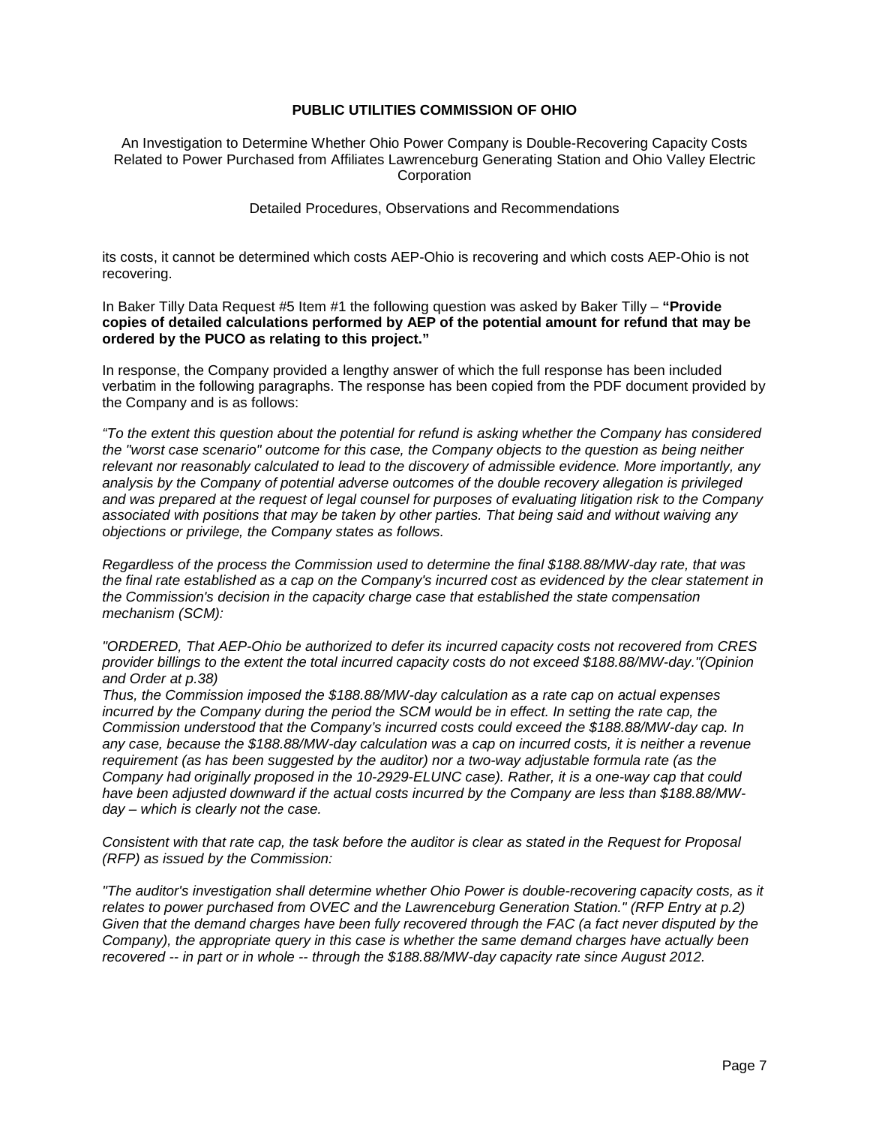An Investigation to Determine Whether Ohio Power Company is Double-Recovering Capacity Costs Related to Power Purchased from Affiliates Lawrenceburg Generating Station and Ohio Valley Electric **Corporation** 

Detailed Procedures, Observations and Recommendations

its costs, it cannot be determined which costs AEP-Ohio is recovering and which costs AEP-Ohio is not recovering.

In Baker Tilly Data Request #5 Item #1 the following question was asked by Baker Tilly – **"Provide copies of detailed calculations performed by AEP of the potential amount for refund that may be ordered by the PUCO as relating to this project."**

In response, the Company provided a lengthy answer of which the full response has been included verbatim in the following paragraphs. The response has been copied from the PDF document provided by the Company and is as follows:

*"To the extent this question about the potential for refund is asking whether the Company has considered the "worst case scenario" outcome for this case, the Company objects to the question as being neither relevant nor reasonably calculated to lead to the discovery of admissible evidence. More importantly, any analysis by the Company of potential adverse outcomes of the double recovery allegation is privileged and was prepared at the request of legal counsel for purposes of evaluating litigation risk to the Company associated with positions that may be taken by other parties. That being said and without waiving any objections or privilege, the Company states as follows.*

*Regardless of the process the Commission used to determine the final \$188.88/MW-day rate, that was the final rate established as a cap on the Company's incurred cost as evidenced by the clear statement in the Commission's decision in the capacity charge case that established the state compensation mechanism (SCM):*

*"ORDERED, That AEP-Ohio be authorized to defer its incurred capacity costs not recovered from CRES provider billings to the extent the total incurred capacity costs do not exceed \$188.88/MW-day."(Opinion and Order at p.38)*

*Thus, the Commission imposed the \$188.88/MW-day calculation as a rate cap on actual expenses incurred by the Company during the period the SCM would be in effect. In setting the rate cap, the Commission understood that the Company's incurred costs could exceed the \$188.88/MW-day cap. In any case, because the \$188.88/MW-day calculation was a cap on incurred costs, it is neither a revenue requirement (as has been suggested by the auditor) nor a two-way adjustable formula rate (as the Company had originally proposed in the 10-2929-ELUNC case). Rather, it is a one-way cap that could have been adjusted downward if the actual costs incurred by the Company are less than \$188.88/MWday – which is clearly not the case.*

*Consistent with that rate cap, the task before the auditor is clear as stated in the Request for Proposal (RFP) as issued by the Commission:*

*"The auditor's investigation shall determine whether Ohio Power is double-recovering capacity costs, as it relates to power purchased from OVEC and the Lawrenceburg Generation Station." (RFP Entry at p.2) Given that the demand charges have been fully recovered through the FAC (a fact never disputed by the Company), the appropriate query in this case is whether the same demand charges have actually been recovered -- in part or in whole -- through the \$188.88/MW-day capacity rate since August 2012.*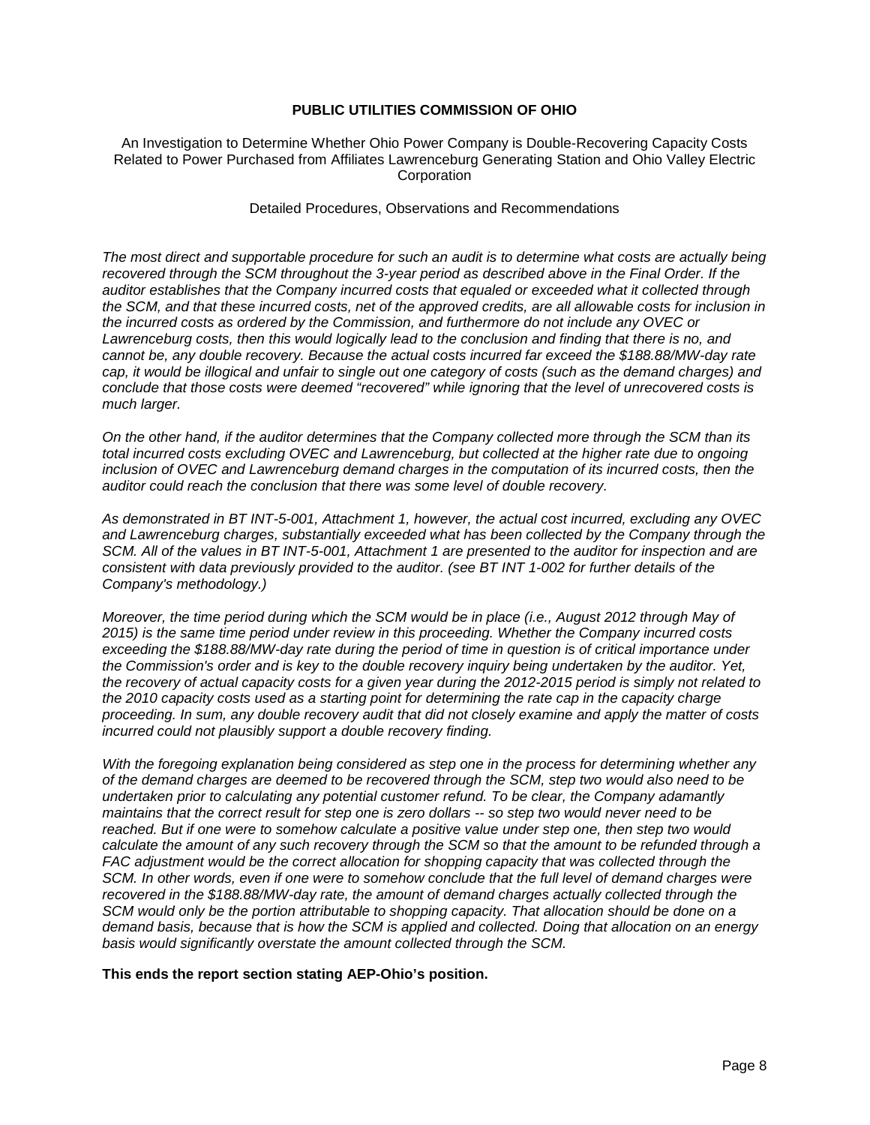#### An Investigation to Determine Whether Ohio Power Company is Double-Recovering Capacity Costs Related to Power Purchased from Affiliates Lawrenceburg Generating Station and Ohio Valley Electric **Corporation**

#### Detailed Procedures, Observations and Recommendations

*The most direct and supportable procedure for such an audit is to determine what costs are actually being recovered through the SCM throughout the 3-year period as described above in the Final Order. If the auditor establishes that the Company incurred costs that equaled or exceeded what it collected through the SCM, and that these incurred costs, net of the approved credits, are all allowable costs for inclusion in the incurred costs as ordered by the Commission, and furthermore do not include any OVEC or Lawrenceburg costs, then this would logically lead to the conclusion and finding that there is no, and cannot be, any double recovery. Because the actual costs incurred far exceed the \$188.88/MW-day rate cap, it would be illogical and unfair to single out one category of costs (such as the demand charges) and conclude that those costs were deemed "recovered" while ignoring that the level of unrecovered costs is much larger.*

*On the other hand, if the auditor determines that the Company collected more through the SCM than its total incurred costs excluding OVEC and Lawrenceburg, but collected at the higher rate due to ongoing*  inclusion of OVEC and Lawrenceburg demand charges in the computation of its incurred costs, then the *auditor could reach the conclusion that there was some level of double recovery.*

*As demonstrated in BT INT-5-001, Attachment 1, however, the actual cost incurred, excluding any OVEC*  and Lawrenceburg charges, substantially exceeded what has been collected by the Company through the *SCM. All of the values in BT INT-5-001, Attachment 1 are presented to the auditor for inspection and are consistent with data previously provided to the auditor. (see BT INT 1-002 for further details of the Company's methodology.)*

*Moreover, the time period during which the SCM would be in place (i.e., August 2012 through May of 2015) is the same time period under review in this proceeding. Whether the Company incurred costs exceeding the \$188.88/MW-day rate during the period of time in question is of critical importance under the Commission's order and is key to the double recovery inquiry being undertaken by the auditor. Yet, the recovery of actual capacity costs for a given year during the 2012-2015 period is simply not related to the 2010 capacity costs used as a starting point for determining the rate cap in the capacity charge proceeding. In sum, any double recovery audit that did not closely examine and apply the matter of costs incurred could not plausibly support a double recovery finding.*

*With the foregoing explanation being considered as step one in the process for determining whether any of the demand charges are deemed to be recovered through the SCM, step two would also need to be undertaken prior to calculating any potential customer refund. To be clear, the Company adamantly maintains that the correct result for step one is zero dollars -- so step two would never need to be reached. But if one were to somehow calculate a positive value under step one, then step two would calculate the amount of any such recovery through the SCM so that the amount to be refunded through a FAC adjustment would be the correct allocation for shopping capacity that was collected through the SCM. In other words, even if one were to somehow conclude that the full level of demand charges were recovered in the \$188.88/MW-day rate, the amount of demand charges actually collected through the SCM would only be the portion attributable to shopping capacity. That allocation should be done on a demand basis, because that is how the SCM is applied and collected. Doing that allocation on an energy basis would significantly overstate the amount collected through the SCM.*

**This ends the report section stating AEP-Ohio's position.**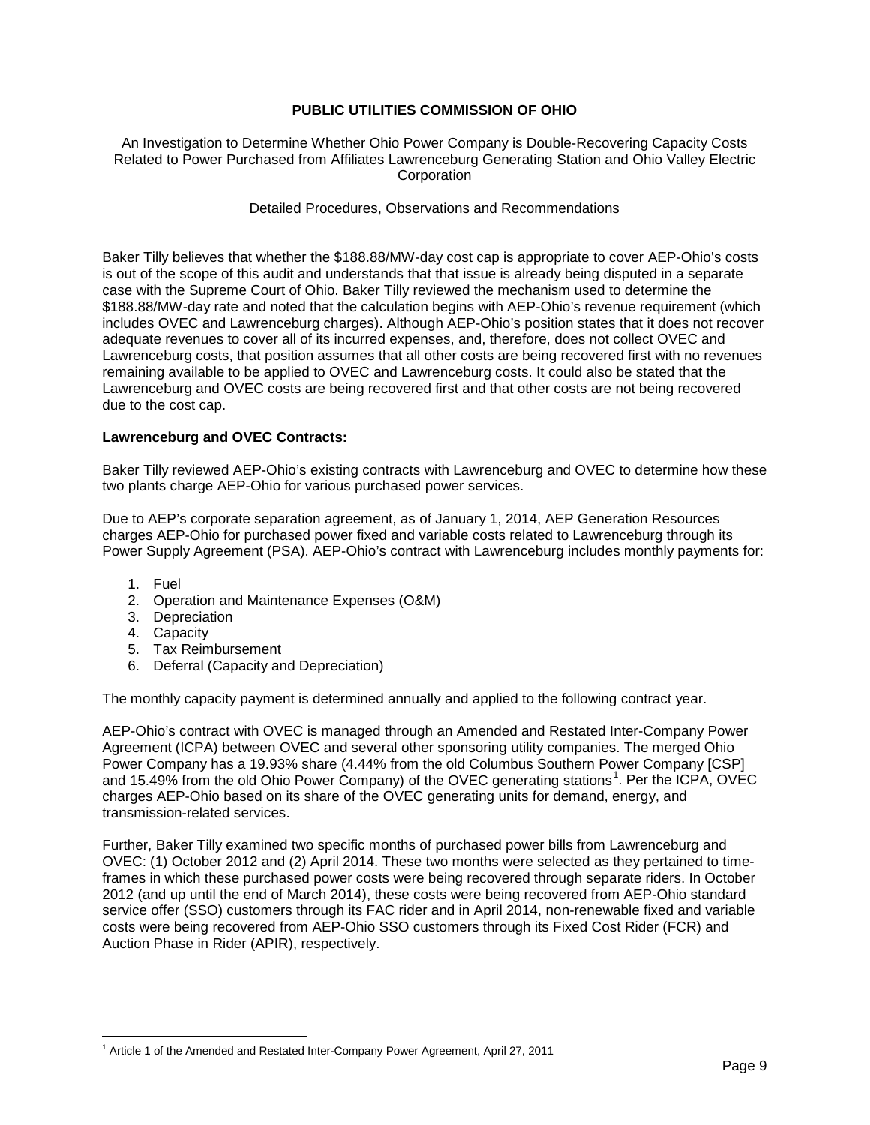An Investigation to Determine Whether Ohio Power Company is Double-Recovering Capacity Costs Related to Power Purchased from Affiliates Lawrenceburg Generating Station and Ohio Valley Electric **Corporation** 

Detailed Procedures, Observations and Recommendations

Baker Tilly believes that whether the \$188.88/MW-day cost cap is appropriate to cover AEP-Ohio's costs is out of the scope of this audit and understands that that issue is already being disputed in a separate case with the Supreme Court of Ohio. Baker Tilly reviewed the mechanism used to determine the \$188.88/MW-day rate and noted that the calculation begins with AEP-Ohio's revenue requirement (which includes OVEC and Lawrenceburg charges). Although AEP-Ohio's position states that it does not recover adequate revenues to cover all of its incurred expenses, and, therefore, does not collect OVEC and Lawrenceburg costs, that position assumes that all other costs are being recovered first with no revenues remaining available to be applied to OVEC and Lawrenceburg costs. It could also be stated that the Lawrenceburg and OVEC costs are being recovered first and that other costs are not being recovered due to the cost cap.

#### **Lawrenceburg and OVEC Contracts:**

Baker Tilly reviewed AEP-Ohio's existing contracts with Lawrenceburg and OVEC to determine how these two plants charge AEP-Ohio for various purchased power services.

Due to AEP's corporate separation agreement, as of January 1, 2014, AEP Generation Resources charges AEP-Ohio for purchased power fixed and variable costs related to Lawrenceburg through its Power Supply Agreement (PSA). AEP-Ohio's contract with Lawrenceburg includes monthly payments for:

- 1. Fuel
- 2. Operation and Maintenance Expenses (O&M)
- 3. Depreciation
- 4. Capacity
- 5. Tax Reimbursement
- 6. Deferral (Capacity and Depreciation)

The monthly capacity payment is determined annually and applied to the following contract year.

AEP-Ohio's contract with OVEC is managed through an Amended and Restated Inter-Company Power Agreement (ICPA) between OVEC and several other sponsoring utility companies. The merged Ohio Power Company has a 19.93% share (4.44% from the old Columbus Southern Power Company [CSP] and [1](#page-10-0)5.49% from the old Ohio Power Company) of the OVEC generating stations<sup>1</sup>. Per the ICPA, OVEC charges AEP-Ohio based on its share of the OVEC generating units for demand, energy, and transmission-related services.

Further, Baker Tilly examined two specific months of purchased power bills from Lawrenceburg and OVEC: (1) October 2012 and (2) April 2014. These two months were selected as they pertained to timeframes in which these purchased power costs were being recovered through separate riders. In October 2012 (and up until the end of March 2014), these costs were being recovered from AEP-Ohio standard service offer (SSO) customers through its FAC rider and in April 2014, non-renewable fixed and variable costs were being recovered from AEP-Ohio SSO customers through its Fixed Cost Rider (FCR) and Auction Phase in Rider (APIR), respectively.

<span id="page-10-0"></span><sup>1</sup> Article 1 of the Amended and Restated Inter-Company Power Agreement, April 27, 2011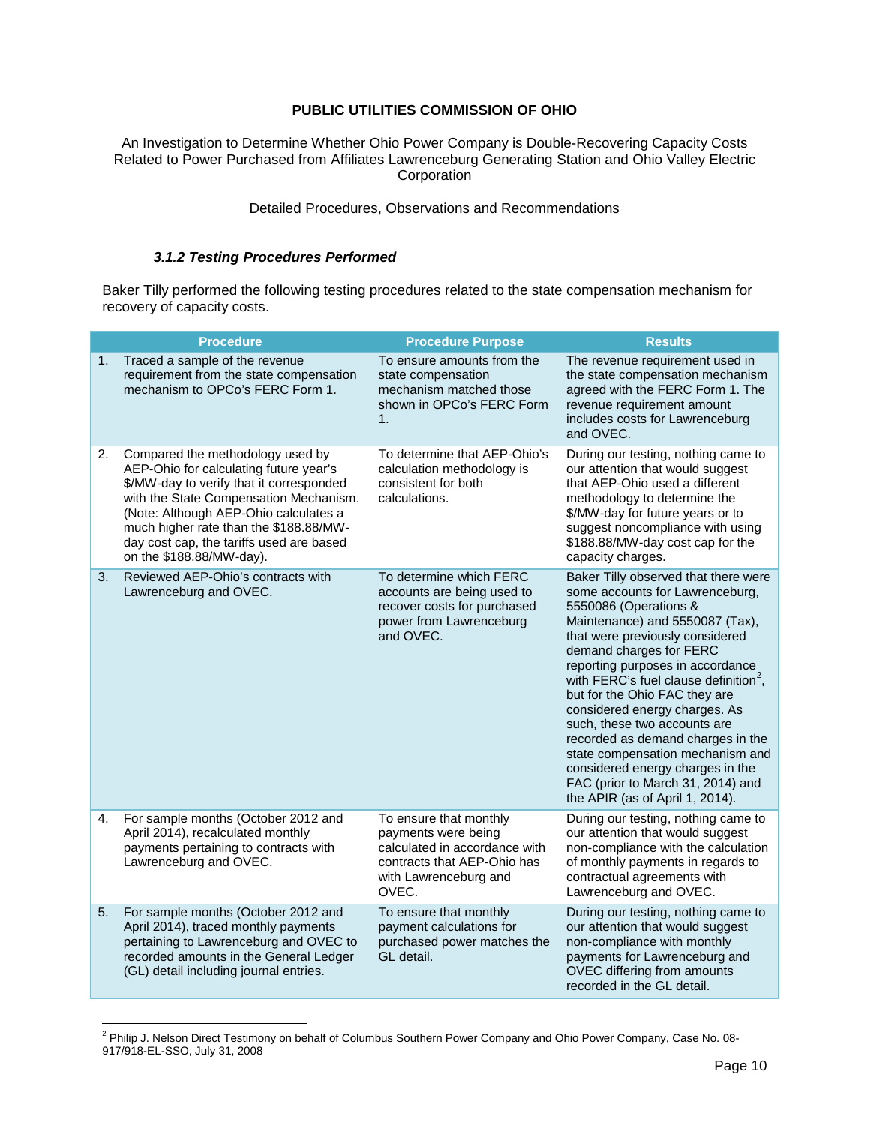An Investigation to Determine Whether Ohio Power Company is Double-Recovering Capacity Costs Related to Power Purchased from Affiliates Lawrenceburg Generating Station and Ohio Valley Electric **Corporation** 

Detailed Procedures, Observations and Recommendations

### *3.1.2 Testing Procedures Performed*

Baker Tilly performed the following testing procedures related to the state compensation mechanism for recovery of capacity costs.

|    | <b>Procedure</b>                                                                                                                                                                                                                                                                                                            | <b>Procedure Purpose</b>                                                                                                                        | <b>Results</b>                                                                                                                                                                                                                                                                                                                                                                                                                                                                                                                                                                    |
|----|-----------------------------------------------------------------------------------------------------------------------------------------------------------------------------------------------------------------------------------------------------------------------------------------------------------------------------|-------------------------------------------------------------------------------------------------------------------------------------------------|-----------------------------------------------------------------------------------------------------------------------------------------------------------------------------------------------------------------------------------------------------------------------------------------------------------------------------------------------------------------------------------------------------------------------------------------------------------------------------------------------------------------------------------------------------------------------------------|
| 1. | Traced a sample of the revenue<br>requirement from the state compensation<br>mechanism to OPCo's FERC Form 1.                                                                                                                                                                                                               | To ensure amounts from the<br>state compensation<br>mechanism matched those<br>shown in OPCo's FERC Form<br>1.                                  | The revenue requirement used in<br>the state compensation mechanism<br>agreed with the FERC Form 1. The<br>revenue requirement amount<br>includes costs for Lawrenceburg<br>and OVEC.                                                                                                                                                                                                                                                                                                                                                                                             |
| 2. | Compared the methodology used by<br>AEP-Ohio for calculating future year's<br>\$/MW-day to verify that it corresponded<br>with the State Compensation Mechanism.<br>(Note: Although AEP-Ohio calculates a<br>much higher rate than the \$188.88/MW-<br>day cost cap, the tariffs used are based<br>on the \$188.88/MW-day). | To determine that AEP-Ohio's<br>calculation methodology is<br>consistent for both<br>calculations.                                              | During our testing, nothing came to<br>our attention that would suggest<br>that AEP-Ohio used a different<br>methodology to determine the<br>\$/MW-day for future years or to<br>suggest noncompliance with using<br>\$188.88/MW-day cost cap for the<br>capacity charges.                                                                                                                                                                                                                                                                                                        |
| 3. | Reviewed AEP-Ohio's contracts with<br>Lawrenceburg and OVEC.                                                                                                                                                                                                                                                                | To determine which FERC<br>accounts are being used to<br>recover costs for purchased<br>power from Lawrenceburg<br>and OVEC.                    | Baker Tilly observed that there were<br>some accounts for Lawrenceburg,<br>5550086 (Operations &<br>Maintenance) and 5550087 (Tax),<br>that were previously considered<br>demand charges for FERC<br>reporting purposes in accordance<br>with FERC's fuel clause definition <sup>2</sup> ,<br>but for the Ohio FAC they are<br>considered energy charges. As<br>such, these two accounts are<br>recorded as demand charges in the<br>state compensation mechanism and<br>considered energy charges in the<br>FAC (prior to March 31, 2014) and<br>the APIR (as of April 1, 2014). |
| 4. | For sample months (October 2012 and<br>April 2014), recalculated monthly<br>payments pertaining to contracts with<br>Lawrenceburg and OVEC.                                                                                                                                                                                 | To ensure that monthly<br>payments were being<br>calculated in accordance with<br>contracts that AEP-Ohio has<br>with Lawrenceburg and<br>OVEC. | During our testing, nothing came to<br>our attention that would suggest<br>non-compliance with the calculation<br>of monthly payments in regards to<br>contractual agreements with<br>Lawrenceburg and OVEC.                                                                                                                                                                                                                                                                                                                                                                      |
| 5. | For sample months (October 2012 and<br>April 2014), traced monthly payments<br>pertaining to Lawrenceburg and OVEC to<br>recorded amounts in the General Ledger<br>(GL) detail including journal entries.                                                                                                                   | To ensure that monthly<br>payment calculations for<br>purchased power matches the<br>GL detail.                                                 | During our testing, nothing came to<br>our attention that would suggest<br>non-compliance with monthly<br>payments for Lawrenceburg and<br>OVEC differing from amounts<br>recorded in the GL detail.                                                                                                                                                                                                                                                                                                                                                                              |

<span id="page-11-0"></span><sup>&</sup>lt;sup>2</sup> Philip J. Nelson Direct Testimony on behalf of Columbus Southern Power Company and Ohio Power Company, Case No. 08-917/918-EL-SSO, July 31, 2008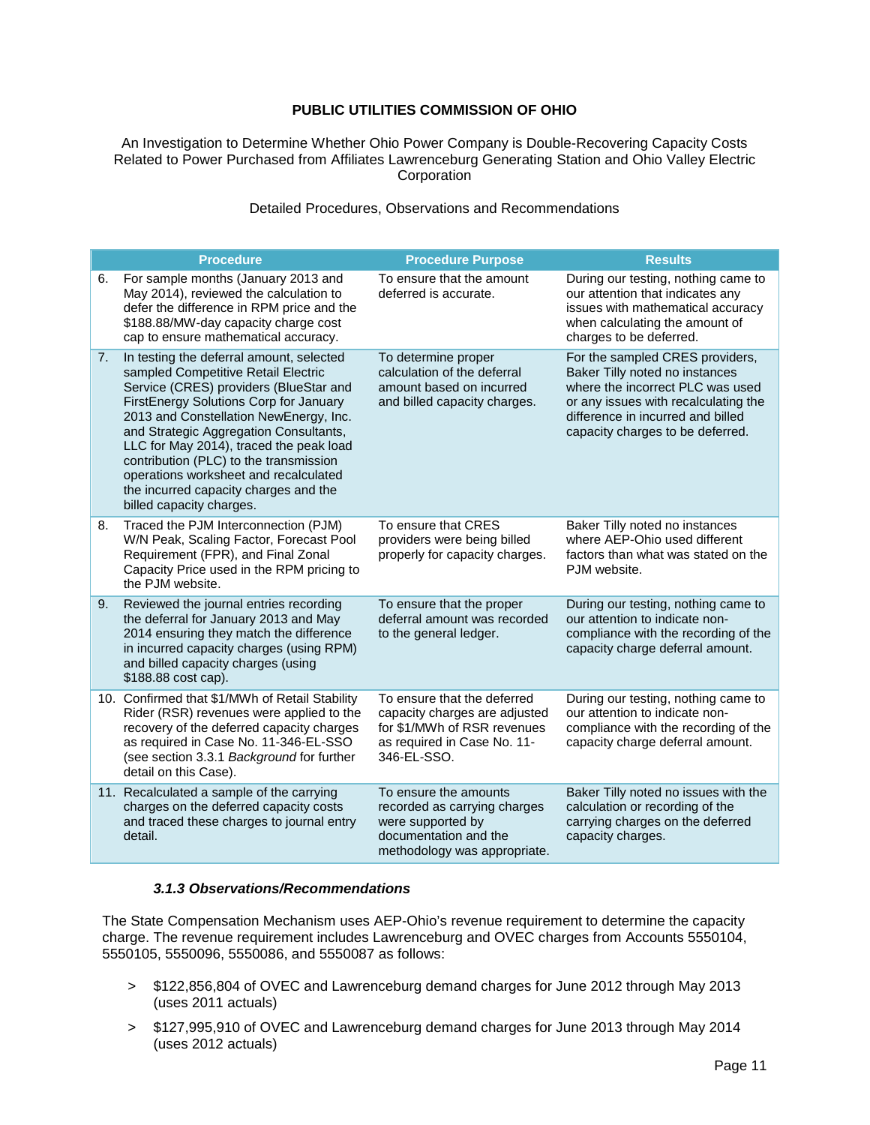An Investigation to Determine Whether Ohio Power Company is Double-Recovering Capacity Costs Related to Power Purchased from Affiliates Lawrenceburg Generating Station and Ohio Valley Electric **Corporation** 

#### Detailed Procedures, Observations and Recommendations

|    | <b>Procedure</b>                                                                                                                                                                                                                                                                                                                                                                                                                                           | <b>Procedure Purpose</b>                                                                                                                  | <b>Results</b>                                                                                                                                                                                                         |
|----|------------------------------------------------------------------------------------------------------------------------------------------------------------------------------------------------------------------------------------------------------------------------------------------------------------------------------------------------------------------------------------------------------------------------------------------------------------|-------------------------------------------------------------------------------------------------------------------------------------------|------------------------------------------------------------------------------------------------------------------------------------------------------------------------------------------------------------------------|
| 6. | For sample months (January 2013 and<br>May 2014), reviewed the calculation to<br>defer the difference in RPM price and the<br>\$188.88/MW-day capacity charge cost<br>cap to ensure mathematical accuracy.                                                                                                                                                                                                                                                 | To ensure that the amount<br>deferred is accurate.                                                                                        | During our testing, nothing came to<br>our attention that indicates any<br>issues with mathematical accuracy<br>when calculating the amount of<br>charges to be deferred.                                              |
| 7. | In testing the deferral amount, selected<br>sampled Competitive Retail Electric<br>Service (CRES) providers (BlueStar and<br>FirstEnergy Solutions Corp for January<br>2013 and Constellation NewEnergy, Inc.<br>and Strategic Aggregation Consultants,<br>LLC for May 2014), traced the peak load<br>contribution (PLC) to the transmission<br>operations worksheet and recalculated<br>the incurred capacity charges and the<br>billed capacity charges. | To determine proper<br>calculation of the deferral<br>amount based on incurred<br>and billed capacity charges.                            | For the sampled CRES providers,<br>Baker Tilly noted no instances<br>where the incorrect PLC was used<br>or any issues with recalculating the<br>difference in incurred and billed<br>capacity charges to be deferred. |
| 8. | Traced the PJM Interconnection (PJM)<br>W/N Peak, Scaling Factor, Forecast Pool<br>Requirement (FPR), and Final Zonal<br>Capacity Price used in the RPM pricing to<br>the PJM website.                                                                                                                                                                                                                                                                     | To ensure that CRES<br>providers were being billed<br>properly for capacity charges.                                                      | Baker Tilly noted no instances<br>where AEP-Ohio used different<br>factors than what was stated on the<br>PJM website.                                                                                                 |
| 9. | Reviewed the journal entries recording<br>the deferral for January 2013 and May<br>2014 ensuring they match the difference<br>in incurred capacity charges (using RPM)<br>and billed capacity charges (using<br>\$188.88 cost cap).                                                                                                                                                                                                                        | To ensure that the proper<br>deferral amount was recorded<br>to the general ledger.                                                       | During our testing, nothing came to<br>our attention to indicate non-<br>compliance with the recording of the<br>capacity charge deferral amount.                                                                      |
|    | 10. Confirmed that \$1/MWh of Retail Stability<br>Rider (RSR) revenues were applied to the<br>recovery of the deferred capacity charges<br>as required in Case No. 11-346-EL-SSO<br>(see section 3.3.1 Background for further<br>detail on this Case).                                                                                                                                                                                                     | To ensure that the deferred<br>capacity charges are adjusted<br>for \$1/MWh of RSR revenues<br>as required in Case No. 11-<br>346-EL-SSO. | During our testing, nothing came to<br>our attention to indicate non-<br>compliance with the recording of the<br>capacity charge deferral amount.                                                                      |
|    | 11. Recalculated a sample of the carrying<br>charges on the deferred capacity costs<br>and traced these charges to journal entry<br>detail.                                                                                                                                                                                                                                                                                                                | To ensure the amounts<br>recorded as carrying charges<br>were supported by<br>documentation and the<br>methodology was appropriate.       | Baker Tilly noted no issues with the<br>calculation or recording of the<br>carrying charges on the deferred<br>capacity charges.                                                                                       |

#### *3.1.3 Observations/Recommendations*

The State Compensation Mechanism uses AEP-Ohio's revenue requirement to determine the capacity charge. The revenue requirement includes Lawrenceburg and OVEC charges from Accounts 5550104, 5550105, 5550096, 5550086, and 5550087 as follows:

- > \$122,856,804 of OVEC and Lawrenceburg demand charges for June 2012 through May 2013 (uses 2011 actuals)
- > \$127,995,910 of OVEC and Lawrenceburg demand charges for June 2013 through May 2014 (uses 2012 actuals)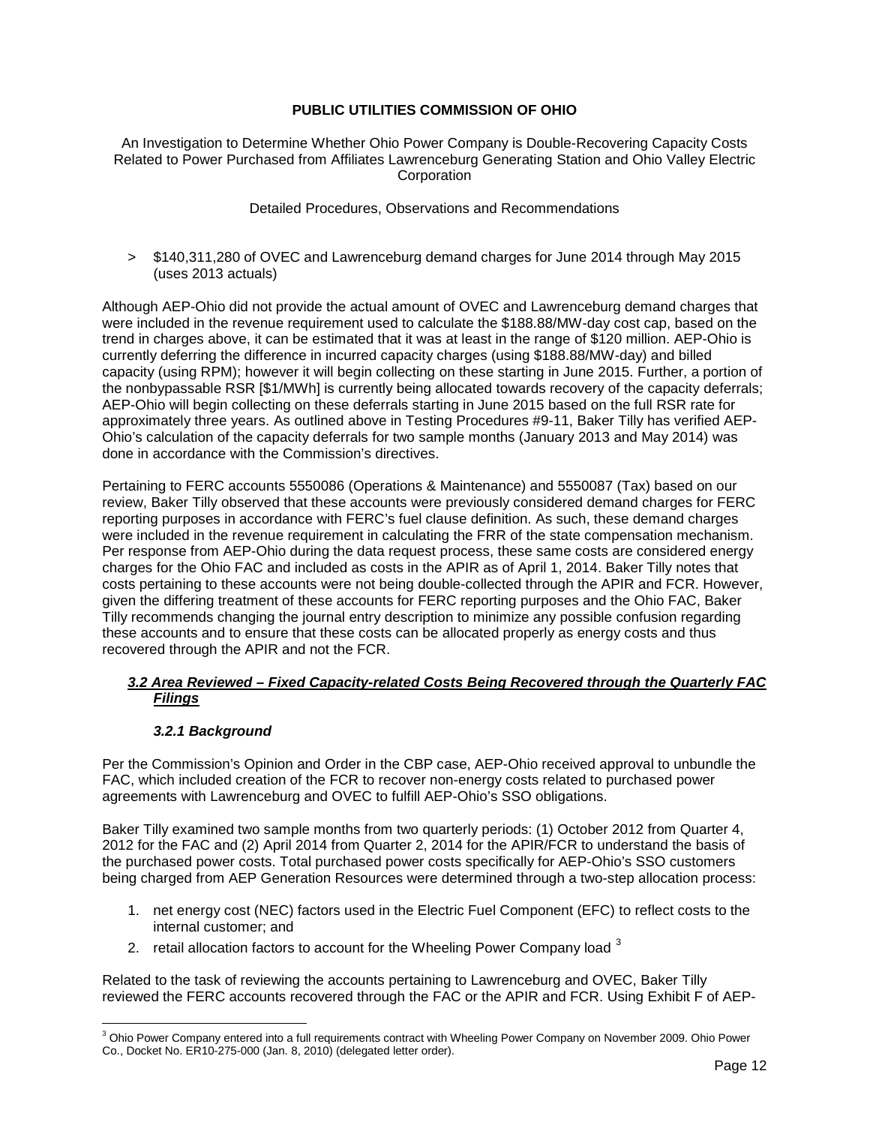An Investigation to Determine Whether Ohio Power Company is Double-Recovering Capacity Costs Related to Power Purchased from Affiliates Lawrenceburg Generating Station and Ohio Valley Electric **Corporation** 

Detailed Procedures, Observations and Recommendations

> \$140,311,280 of OVEC and Lawrenceburg demand charges for June 2014 through May 2015 (uses 2013 actuals)

Although AEP-Ohio did not provide the actual amount of OVEC and Lawrenceburg demand charges that were included in the revenue requirement used to calculate the \$188.88/MW-day cost cap, based on the trend in charges above, it can be estimated that it was at least in the range of \$120 million. AEP-Ohio is currently deferring the difference in incurred capacity charges (using \$188.88/MW-day) and billed capacity (using RPM); however it will begin collecting on these starting in June 2015. Further, a portion of the nonbypassable RSR [\$1/MWh] is currently being allocated towards recovery of the capacity deferrals; AEP-Ohio will begin collecting on these deferrals starting in June 2015 based on the full RSR rate for approximately three years. As outlined above in Testing Procedures #9-11, Baker Tilly has verified AEP-Ohio's calculation of the capacity deferrals for two sample months (January 2013 and May 2014) was done in accordance with the Commission's directives.

Pertaining to FERC accounts 5550086 (Operations & Maintenance) and 5550087 (Tax) based on our review, Baker Tilly observed that these accounts were previously considered demand charges for FERC reporting purposes in accordance with FERC's fuel clause definition. As such, these demand charges were included in the revenue requirement in calculating the FRR of the state compensation mechanism. Per response from AEP-Ohio during the data request process, these same costs are considered energy charges for the Ohio FAC and included as costs in the APIR as of April 1, 2014. Baker Tilly notes that costs pertaining to these accounts were not being double-collected through the APIR and FCR. However, given the differing treatment of these accounts for FERC reporting purposes and the Ohio FAC, Baker Tilly recommends changing the journal entry description to minimize any possible confusion regarding these accounts and to ensure that these costs can be allocated properly as energy costs and thus recovered through the APIR and not the FCR.

### *3.2 Area Reviewed – Fixed Capacity-related Costs Being Recovered through the Quarterly FAC Filings*

#### *3.2.1 Background*

Per the Commission's Opinion and Order in the CBP case, AEP-Ohio received approval to unbundle the FAC, which included creation of the FCR to recover non-energy costs related to purchased power agreements with Lawrenceburg and OVEC to fulfill AEP-Ohio's SSO obligations.

Baker Tilly examined two sample months from two quarterly periods: (1) October 2012 from Quarter 4, 2012 for the FAC and (2) April 2014 from Quarter 2, 2014 for the APIR/FCR to understand the basis of the purchased power costs. Total purchased power costs specifically for AEP-Ohio's SSO customers being charged from AEP Generation Resources were determined through a two-step allocation process:

- 1. net energy cost (NEC) factors used in the Electric Fuel Component (EFC) to reflect costs to the internal customer; and
- 2. retail allocation factors to account for the Wheeling Power Company load  $3$

Related to the task of reviewing the accounts pertaining to Lawrenceburg and OVEC, Baker Tilly reviewed the FERC accounts recovered through the FAC or the APIR and FCR. Using Exhibit F of AEP-

<span id="page-13-0"></span><sup>&</sup>lt;sup>3</sup> Ohio Power Company entered into a full requirements contract with Wheeling Power Company on November 2009. Ohio Power Co., Docket No. ER10-275-000 (Jan. 8, 2010) (delegated letter order).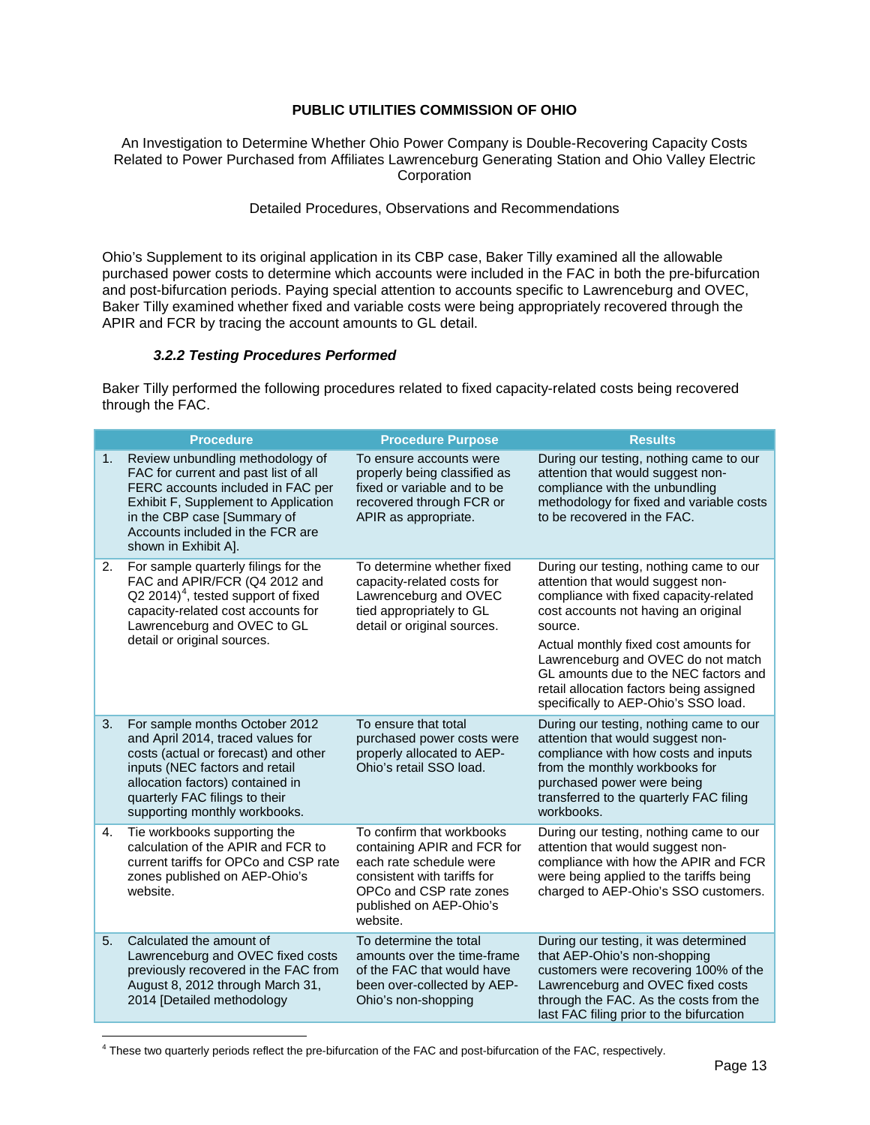An Investigation to Determine Whether Ohio Power Company is Double-Recovering Capacity Costs Related to Power Purchased from Affiliates Lawrenceburg Generating Station and Ohio Valley Electric **Corporation** 

Detailed Procedures, Observations and Recommendations

Ohio's Supplement to its original application in its CBP case, Baker Tilly examined all the allowable purchased power costs to determine which accounts were included in the FAC in both the pre-bifurcation and post-bifurcation periods. Paying special attention to accounts specific to Lawrenceburg and OVEC, Baker Tilly examined whether fixed and variable costs were being appropriately recovered through the APIR and FCR by tracing the account amounts to GL detail.

#### *3.2.2 Testing Procedures Performed*

Baker Tilly performed the following procedures related to fixed capacity-related costs being recovered through the FAC.

|    | <b>Procedure</b>                                                                                                                                                                                                                                     | <b>Procedure Purpose</b>                                                                                                                                                             | <b>Results</b>                                                                                                                                                                                                                                                                                                                                                                        |
|----|------------------------------------------------------------------------------------------------------------------------------------------------------------------------------------------------------------------------------------------------------|--------------------------------------------------------------------------------------------------------------------------------------------------------------------------------------|---------------------------------------------------------------------------------------------------------------------------------------------------------------------------------------------------------------------------------------------------------------------------------------------------------------------------------------------------------------------------------------|
| 1. | Review unbundling methodology of<br>FAC for current and past list of all<br>FERC accounts included in FAC per<br>Exhibit F, Supplement to Application<br>in the CBP case [Summary of<br>Accounts included in the FCR are<br>shown in Exhibit A].     | To ensure accounts were<br>properly being classified as<br>fixed or variable and to be<br>recovered through FCR or<br>APIR as appropriate.                                           | During our testing, nothing came to our<br>attention that would suggest non-<br>compliance with the unbundling<br>methodology for fixed and variable costs<br>to be recovered in the FAC.                                                                                                                                                                                             |
| 2. | For sample quarterly filings for the<br>FAC and APIR/FCR (Q4 2012 and<br>$Q2 2014$ <sup>4</sup> , tested support of fixed<br>capacity-related cost accounts for<br>Lawrenceburg and OVEC to GL<br>detail or original sources.                        | To determine whether fixed<br>capacity-related costs for<br>Lawrenceburg and OVEC<br>tied appropriately to GL<br>detail or original sources.                                         | During our testing, nothing came to our<br>attention that would suggest non-<br>compliance with fixed capacity-related<br>cost accounts not having an original<br>source.<br>Actual monthly fixed cost amounts for<br>Lawrenceburg and OVEC do not match<br>GL amounts due to the NEC factors and<br>retail allocation factors being assigned<br>specifically to AEP-Ohio's SSO load. |
| 3. | For sample months October 2012<br>and April 2014, traced values for<br>costs (actual or forecast) and other<br>inputs (NEC factors and retail<br>allocation factors) contained in<br>quarterly FAC filings to their<br>supporting monthly workbooks. | To ensure that total<br>purchased power costs were<br>properly allocated to AEP-<br>Ohio's retail SSO load.                                                                          | During our testing, nothing came to our<br>attention that would suggest non-<br>compliance with how costs and inputs<br>from the monthly workbooks for<br>purchased power were being<br>transferred to the quarterly FAC filing<br>workbooks.                                                                                                                                         |
| 4. | Tie workbooks supporting the<br>calculation of the APIR and FCR to<br>current tariffs for OPCo and CSP rate<br>zones published on AEP-Ohio's<br>website.                                                                                             | To confirm that workbooks<br>containing APIR and FCR for<br>each rate schedule were<br>consistent with tariffs for<br>OPCo and CSP rate zones<br>published on AEP-Ohio's<br>website. | During our testing, nothing came to our<br>attention that would suggest non-<br>compliance with how the APIR and FCR<br>were being applied to the tariffs being<br>charged to AEP-Ohio's SSO customers.                                                                                                                                                                               |
| 5. | Calculated the amount of<br>Lawrenceburg and OVEC fixed costs<br>previously recovered in the FAC from<br>August 8, 2012 through March 31,<br>2014 [Detailed methodology                                                                              | To determine the total<br>amounts over the time-frame<br>of the FAC that would have<br>been over-collected by AEP-<br>Ohio's non-shopping                                            | During our testing, it was determined<br>that AEP-Ohio's non-shopping<br>customers were recovering 100% of the<br>Lawrenceburg and OVEC fixed costs<br>through the FAC. As the costs from the<br>last FAC filing prior to the bifurcation                                                                                                                                             |

<span id="page-14-0"></span><sup>4</sup> These two quarterly periods reflect the pre-bifurcation of the FAC and post-bifurcation of the FAC, respectively.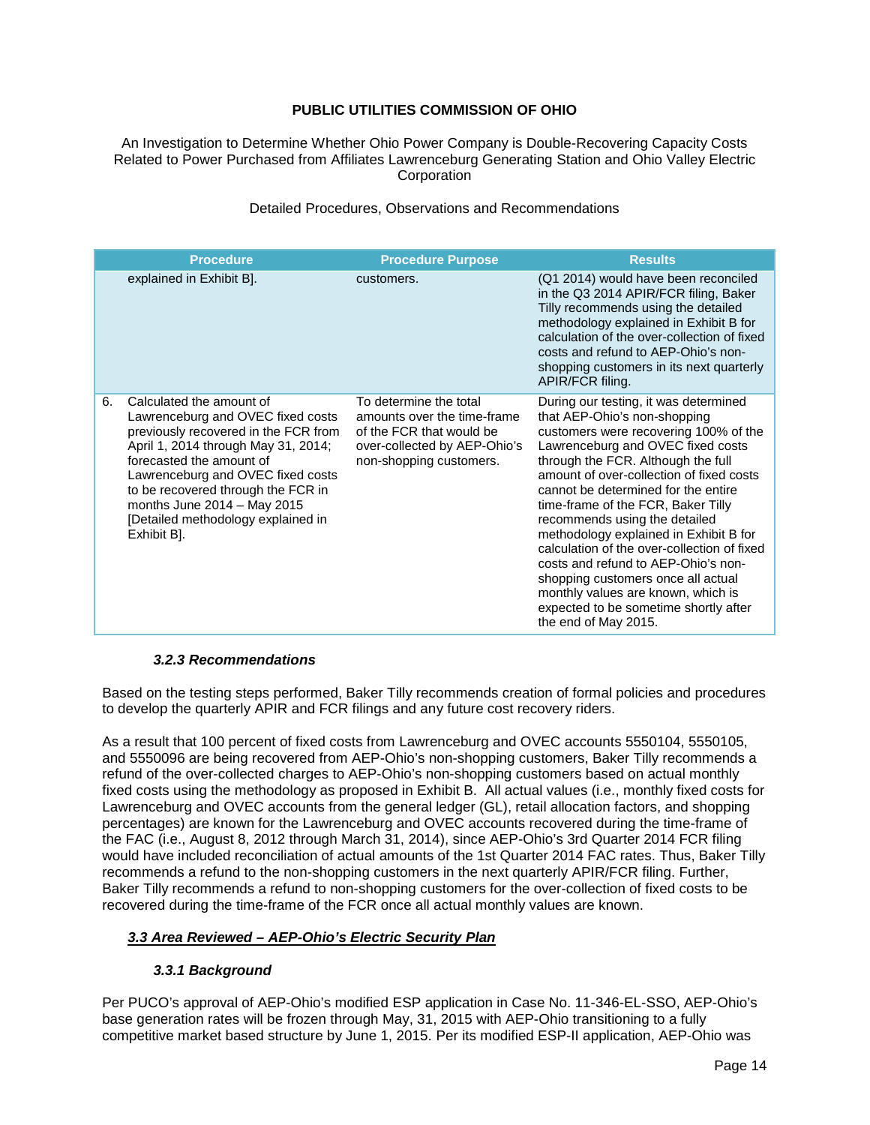An Investigation to Determine Whether Ohio Power Company is Double-Recovering Capacity Costs Related to Power Purchased from Affiliates Lawrenceburg Generating Station and Ohio Valley Electric **Corporation** 

### Detailed Procedures, Observations and Recommendations

|    | <b>Procedure</b>                                                                                                                                                                                                                                                                                                                          | <b>Procedure Purpose</b>                                                                                                                     | <b>Results</b>                                                                                                                                                                                                                                                                                                                                                                                                                                                                                                                                                                                                                   |
|----|-------------------------------------------------------------------------------------------------------------------------------------------------------------------------------------------------------------------------------------------------------------------------------------------------------------------------------------------|----------------------------------------------------------------------------------------------------------------------------------------------|----------------------------------------------------------------------------------------------------------------------------------------------------------------------------------------------------------------------------------------------------------------------------------------------------------------------------------------------------------------------------------------------------------------------------------------------------------------------------------------------------------------------------------------------------------------------------------------------------------------------------------|
|    | explained in Exhibit B].                                                                                                                                                                                                                                                                                                                  | customers.                                                                                                                                   | (Q1 2014) would have been reconciled<br>in the Q3 2014 APIR/FCR filing, Baker<br>Tilly recommends using the detailed<br>methodology explained in Exhibit B for<br>calculation of the over-collection of fixed<br>costs and refund to AEP-Ohio's non-<br>shopping customers in its next quarterly<br>APIR/FCR filing.                                                                                                                                                                                                                                                                                                             |
| 6. | Calculated the amount of<br>Lawrenceburg and OVEC fixed costs<br>previously recovered in the FCR from<br>April 1, 2014 through May 31, 2014;<br>forecasted the amount of<br>Lawrenceburg and OVEC fixed costs<br>to be recovered through the FCR in<br>months June $2014 - May 2015$<br>[Detailed methodology explained in<br>Exhibit B]. | To determine the total<br>amounts over the time-frame<br>of the FCR that would be<br>over-collected by AEP-Ohio's<br>non-shopping customers. | During our testing, it was determined<br>that AEP-Ohio's non-shopping<br>customers were recovering 100% of the<br>Lawrenceburg and OVEC fixed costs<br>through the FCR. Although the full<br>amount of over-collection of fixed costs<br>cannot be determined for the entire<br>time-frame of the FCR, Baker Tilly<br>recommends using the detailed<br>methodology explained in Exhibit B for<br>calculation of the over-collection of fixed<br>costs and refund to AEP-Ohio's non-<br>shopping customers once all actual<br>monthly values are known, which is<br>expected to be sometime shortly after<br>the end of May 2015. |

#### *3.2.3 Recommendations*

Based on the testing steps performed, Baker Tilly recommends creation of formal policies and procedures to develop the quarterly APIR and FCR filings and any future cost recovery riders.

As a result that 100 percent of fixed costs from Lawrenceburg and OVEC accounts 5550104, 5550105, and 5550096 are being recovered from AEP-Ohio's non-shopping customers, Baker Tilly recommends a refund of the over-collected charges to AEP-Ohio's non-shopping customers based on actual monthly fixed costs using the methodology as proposed in Exhibit B. All actual values (i.e., monthly fixed costs for Lawrenceburg and OVEC accounts from the general ledger (GL), retail allocation factors, and shopping percentages) are known for the Lawrenceburg and OVEC accounts recovered during the time-frame of the FAC (i.e., August 8, 2012 through March 31, 2014), since AEP-Ohio's 3rd Quarter 2014 FCR filing would have included reconciliation of actual amounts of the 1st Quarter 2014 FAC rates. Thus, Baker Tilly recommends a refund to the non-shopping customers in the next quarterly APIR/FCR filing. Further, Baker Tilly recommends a refund to non-shopping customers for the over-collection of fixed costs to be recovered during the time-frame of the FCR once all actual monthly values are known.

#### *3.3 Area Reviewed – AEP-Ohio's Electric Security Plan*

## *3.3.1 Background*

Per PUCO's approval of AEP-Ohio's modified ESP application in Case No. 11-346-EL-SSO, AEP-Ohio's base generation rates will be frozen through May, 31, 2015 with AEP-Ohio transitioning to a fully competitive market based structure by June 1, 2015. Per its modified ESP-II application, AEP-Ohio was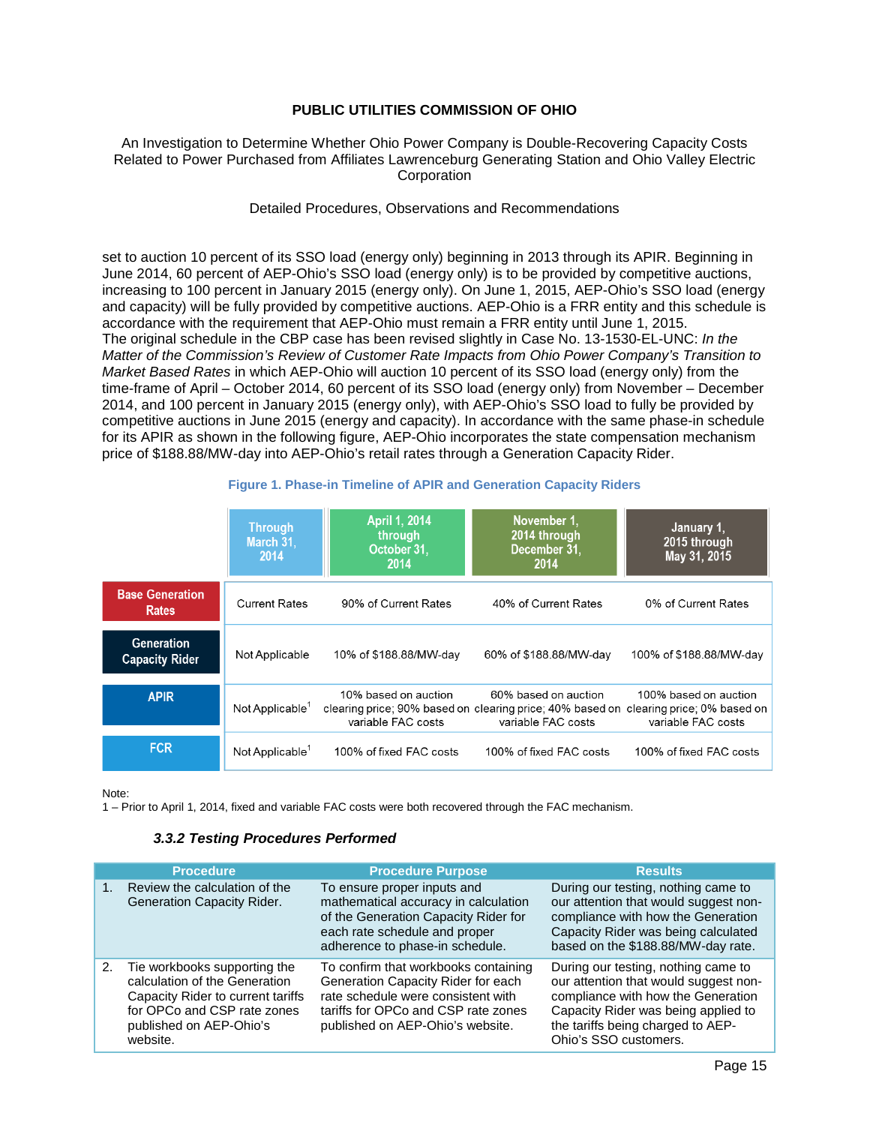#### An Investigation to Determine Whether Ohio Power Company is Double-Recovering Capacity Costs Related to Power Purchased from Affiliates Lawrenceburg Generating Station and Ohio Valley Electric **Corporation**

#### Detailed Procedures, Observations and Recommendations

set to auction 10 percent of its SSO load (energy only) beginning in 2013 through its APIR. Beginning in June 2014, 60 percent of AEP-Ohio's SSO load (energy only) is to be provided by competitive auctions, increasing to 100 percent in January 2015 (energy only). On June 1, 2015, AEP-Ohio's SSO load (energy and capacity) will be fully provided by competitive auctions. AEP-Ohio is a FRR entity and this schedule is accordance with the requirement that AEP-Ohio must remain a FRR entity until June 1, 2015. The original schedule in the CBP case has been revised slightly in Case No. 13-1530-EL-UNC: *In the Matter of the Commission's Review of Customer Rate Impacts from Ohio Power Company's Transition to Market Based Rates* in which AEP-Ohio will auction 10 percent of its SSO load (energy only) from the time-frame of April – October 2014, 60 percent of its SSO load (energy only) from November – December 2014, and 100 percent in January 2015 (energy only), with AEP-Ohio's SSO load to fully be provided by competitive auctions in June 2015 (energy and capacity). In accordance with the same phase-in schedule for its APIR as shown in the following figure, AEP-Ohio incorporates the state compensation mechanism price of \$188.88/MW-day into AEP-Ohio's retail rates through a Generation Capacity Rider.

|                                            | <b>Through</b><br>March 31,<br>2014 | April 1, 2014<br>through<br>October 31.<br>2014 | November 1.<br>2014 through<br>December 31,<br>2014                                                     | January 1,<br>2015 through<br>May 31, 2015                                 |
|--------------------------------------------|-------------------------------------|-------------------------------------------------|---------------------------------------------------------------------------------------------------------|----------------------------------------------------------------------------|
| <b>Base Generation</b><br><b>Rates</b>     | <b>Current Rates</b>                | 90% of Current Rates                            | 40% of Current Rates                                                                                    | 0% of Current Rates                                                        |
| <b>Generation</b><br><b>Capacity Rider</b> | Not Applicable                      | 10% of \$188.88/MW-day                          | 60% of \$188.88/MW-day                                                                                  | 100% of \$188.88/MW-day                                                    |
| <b>APIR</b>                                | Not Applicable $1$                  | 10% based on auction<br>variable FAC costs      | 60% based on auction<br>clearing price; 90% based on clearing price; 40% based on<br>variable FAC costs | 100% based on auction<br>clearing price; 0% based on<br>variable FAC costs |
| <b>FCR</b>                                 | Not Applicable <sup>1</sup>         | 100% of fixed FAC costs                         | 100% of fixed FAC costs                                                                                 | 100% of fixed FAC costs                                                    |

#### **Figure 1. Phase-in Timeline of APIR and Generation Capacity Riders**

Note:

1 – Prior to April 1, 2014, fixed and variable FAC costs were both recovered through the FAC mechanism.

#### *3.3.2 Testing Procedures Performed*

|    | <b>Procedure</b>                                                                                                                                                         | <b>Procedure Purpose</b>                                                                                                                                                                    | <b>Results</b>                                                                                                                                                                                                          |
|----|--------------------------------------------------------------------------------------------------------------------------------------------------------------------------|---------------------------------------------------------------------------------------------------------------------------------------------------------------------------------------------|-------------------------------------------------------------------------------------------------------------------------------------------------------------------------------------------------------------------------|
|    | Review the calculation of the<br>Generation Capacity Rider.                                                                                                              | To ensure proper inputs and<br>mathematical accuracy in calculation<br>of the Generation Capacity Rider for<br>each rate schedule and proper<br>adherence to phase-in schedule.             | During our testing, nothing came to<br>our attention that would suggest non-<br>compliance with how the Generation<br>Capacity Rider was being calculated<br>based on the \$188.88/MW-day rate.                         |
| 2. | Tie workbooks supporting the<br>calculation of the Generation<br>Capacity Rider to current tariffs<br>for OPCo and CSP rate zones<br>published on AEP-Ohio's<br>website. | To confirm that workbooks containing<br>Generation Capacity Rider for each<br>rate schedule were consistent with<br>tariffs for OPCo and CSP rate zones<br>published on AEP-Ohio's website. | During our testing, nothing came to<br>our attention that would suggest non-<br>compliance with how the Generation<br>Capacity Rider was being applied to<br>the tariffs being charged to AEP-<br>Ohio's SSO customers. |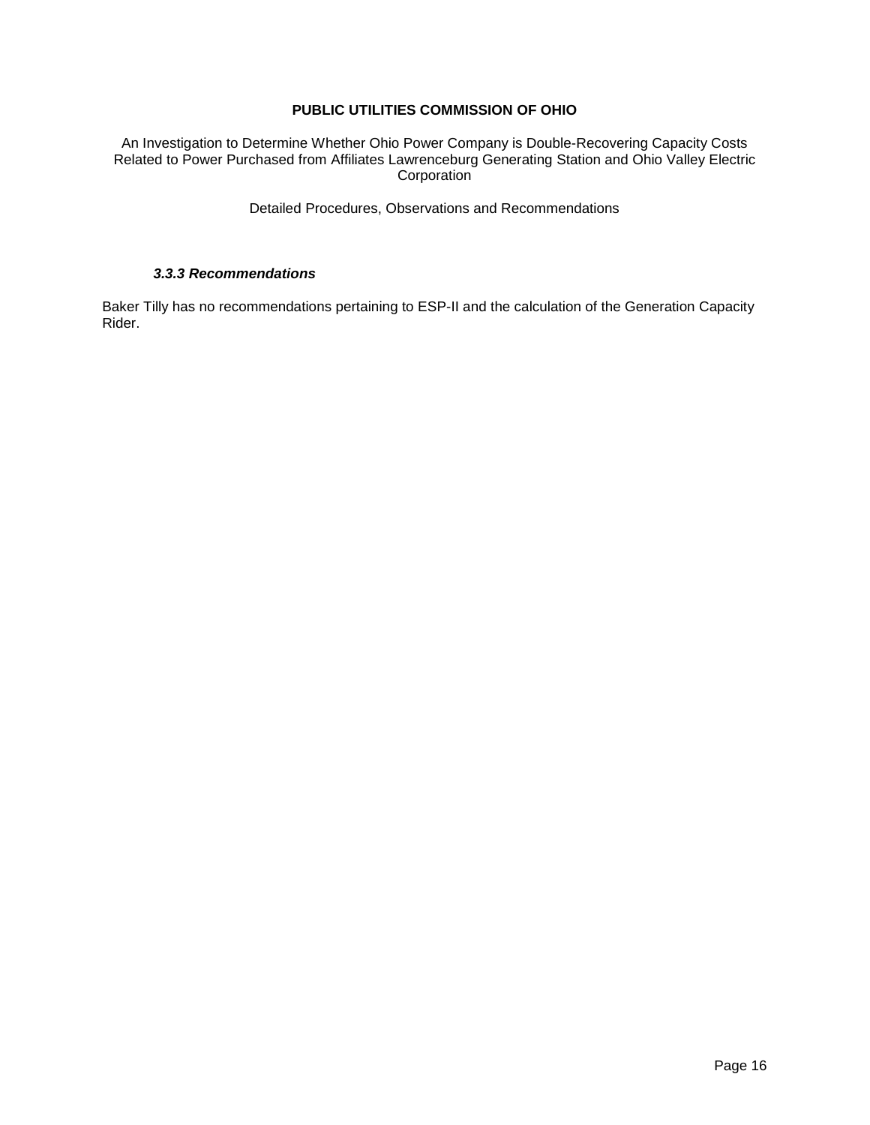An Investigation to Determine Whether Ohio Power Company is Double-Recovering Capacity Costs Related to Power Purchased from Affiliates Lawrenceburg Generating Station and Ohio Valley Electric **Corporation** 

Detailed Procedures, Observations and Recommendations

#### *3.3.3 Recommendations*

Baker Tilly has no recommendations pertaining to ESP-II and the calculation of the Generation Capacity Rider.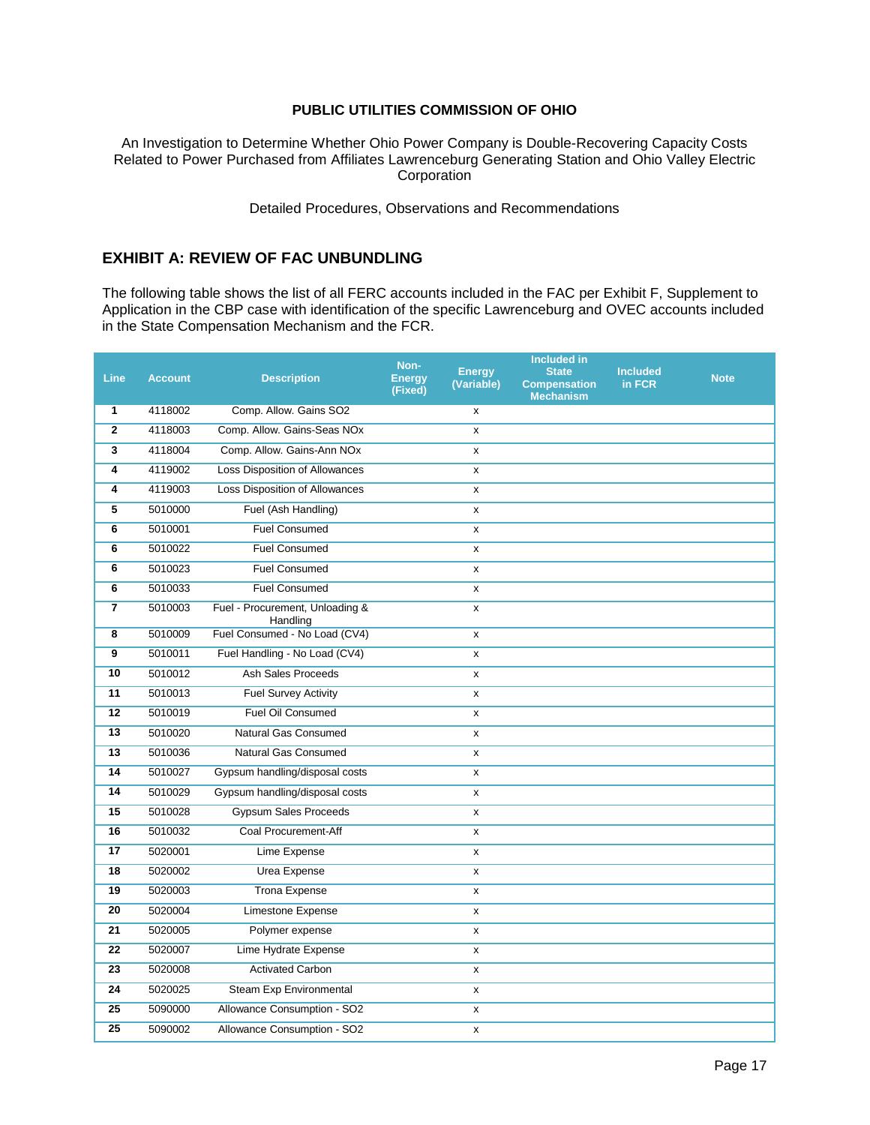An Investigation to Determine Whether Ohio Power Company is Double-Recovering Capacity Costs Related to Power Purchased from Affiliates Lawrenceburg Generating Station and Ohio Valley Electric **Corporation** 

Detailed Procedures, Observations and Recommendations

## **EXHIBIT A: REVIEW OF FAC UNBUNDLING**

The following table shows the list of all FERC accounts included in the FAC per Exhibit F, Supplement to Application in the CBP case with identification of the specific Lawrenceburg and OVEC accounts included in the State Compensation Mechanism and the FCR.

| <b>Line</b>     | <b>Account</b> | <b>Description</b>                          | Non-<br><b>Energy</b><br>(Fixed) | <b>Energy</b><br>(Variable) | <b>Included in</b><br><b>State</b><br><b>Compensation</b><br><b>Mechanism</b> | <b>Included</b><br>in FCR | <b>Note</b> |
|-----------------|----------------|---------------------------------------------|----------------------------------|-----------------------------|-------------------------------------------------------------------------------|---------------------------|-------------|
| 1               | 4118002        | Comp. Allow. Gains SO2                      |                                  | x                           |                                                                               |                           |             |
| $\overline{2}$  | 4118003        | Comp. Allow. Gains-Seas NOx                 |                                  | x                           |                                                                               |                           |             |
| 3               | 4118004        | Comp. Allow. Gains-Ann NOx                  |                                  | x                           |                                                                               |                           |             |
| 4               | 4119002        | <b>Loss Disposition of Allowances</b>       |                                  | x                           |                                                                               |                           |             |
| 4               | 4119003        | Loss Disposition of Allowances              |                                  | x                           |                                                                               |                           |             |
| 5               | 5010000        | Fuel (Ash Handling)                         |                                  | x                           |                                                                               |                           |             |
| 6               | 5010001        | <b>Fuel Consumed</b>                        |                                  | X                           |                                                                               |                           |             |
| 6               | 5010022        | <b>Fuel Consumed</b>                        |                                  | x                           |                                                                               |                           |             |
| 6               | 5010023        | <b>Fuel Consumed</b>                        |                                  | x                           |                                                                               |                           |             |
| 6               | 5010033        | <b>Fuel Consumed</b>                        |                                  | x                           |                                                                               |                           |             |
| 7               | 5010003        | Fuel - Procurement, Unloading &<br>Handling |                                  | x                           |                                                                               |                           |             |
| 8               | 5010009        | Fuel Consumed - No Load (CV4)               |                                  | x                           |                                                                               |                           |             |
| 9               | 5010011        | Fuel Handling - No Load (CV4)               |                                  | x                           |                                                                               |                           |             |
| 10              | 5010012        | Ash Sales Proceeds                          |                                  | x                           |                                                                               |                           |             |
| 11              | 5010013        | <b>Fuel Survey Activity</b>                 |                                  | x                           |                                                                               |                           |             |
| 12              | 5010019        | Fuel Oil Consumed                           |                                  | x                           |                                                                               |                           |             |
| $\overline{13}$ | 5010020        | <b>Natural Gas Consumed</b>                 |                                  | x                           |                                                                               |                           |             |
| 13              | 5010036        | Natural Gas Consumed                        |                                  | x                           |                                                                               |                           |             |
| 14              | 5010027        | Gypsum handling/disposal costs              |                                  | x                           |                                                                               |                           |             |
| 14              | 5010029        | Gypsum handling/disposal costs              |                                  | x                           |                                                                               |                           |             |
| 15              | 5010028        | <b>Gypsum Sales Proceeds</b>                |                                  | x                           |                                                                               |                           |             |
| 16              | 5010032        | Coal Procurement-Aff                        |                                  | x                           |                                                                               |                           |             |
| 17              | 5020001        | Lime Expense                                |                                  | x                           |                                                                               |                           |             |
| 18              | 5020002        | Urea Expense                                |                                  | x                           |                                                                               |                           |             |
| 19              | 5020003        | <b>Trona Expense</b>                        |                                  | X                           |                                                                               |                           |             |
| 20              | 5020004        | Limestone Expense                           |                                  | X                           |                                                                               |                           |             |
| 21              | 5020005        | Polymer expense                             |                                  | X                           |                                                                               |                           |             |
| 22              | 5020007        | Lime Hydrate Expense                        |                                  | x                           |                                                                               |                           |             |
| 23              | 5020008        | <b>Activated Carbon</b>                     |                                  | x                           |                                                                               |                           |             |
| 24              | 5020025        | <b>Steam Exp Environmental</b>              |                                  | x                           |                                                                               |                           |             |
| 25              | 5090000        | Allowance Consumption - SO2                 |                                  | x                           |                                                                               |                           |             |
| 25              | 5090002        | Allowance Consumption - SO2                 |                                  | X                           |                                                                               |                           |             |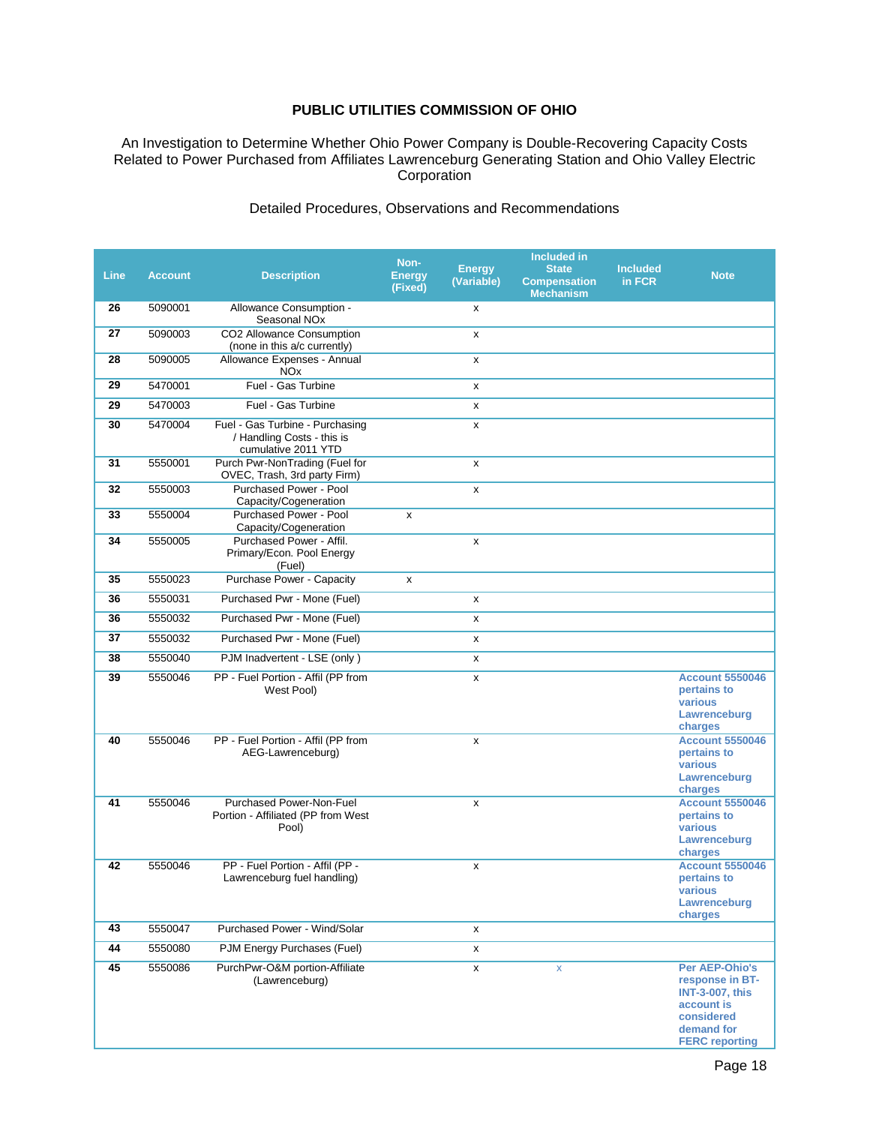An Investigation to Determine Whether Ohio Power Company is Double-Recovering Capacity Costs Related to Power Purchased from Affiliates Lawrenceburg Generating Station and Ohio Valley Electric Corporation

#### Detailed Procedures, Observations and Recommendations

| Line | <b>Account</b> | <b>Description</b>                                                                   | Non-<br><b>Energy</b><br>(Fixed) | <b>Energy</b><br>(Variable) | Included in<br><b>State</b><br><b>Compensation</b><br><b>Mechanism</b> | <b>Included</b><br>in FCR | <b>Note</b>                                                                                                                    |
|------|----------------|--------------------------------------------------------------------------------------|----------------------------------|-----------------------------|------------------------------------------------------------------------|---------------------------|--------------------------------------------------------------------------------------------------------------------------------|
| 26   | 5090001        | Allowance Consumption -<br>Seasonal NO <sub>x</sub>                                  |                                  | X                           |                                                                        |                           |                                                                                                                                |
| 27   | 5090003        | CO2 Allowance Consumption<br>(none in this a/c currently)                            |                                  | x                           |                                                                        |                           |                                                                                                                                |
| 28   | 5090005        | Allowance Expenses - Annual<br><b>NO<sub>x</sub></b>                                 |                                  | x                           |                                                                        |                           |                                                                                                                                |
| 29   | 5470001        | Fuel - Gas Turbine                                                                   |                                  | x                           |                                                                        |                           |                                                                                                                                |
| 29   | 5470003        | Fuel - Gas Turbine                                                                   |                                  | x                           |                                                                        |                           |                                                                                                                                |
| 30   | 5470004        | Fuel - Gas Turbine - Purchasing<br>/ Handling Costs - this is<br>cumulative 2011 YTD |                                  | x                           |                                                                        |                           |                                                                                                                                |
| 31   | 5550001        | Purch Pwr-NonTrading (Fuel for<br>OVEC, Trash, 3rd party Firm)                       |                                  | x                           |                                                                        |                           |                                                                                                                                |
| 32   | 5550003        | Purchased Power - Pool<br>Capacity/Cogeneration                                      |                                  | x                           |                                                                        |                           |                                                                                                                                |
| 33   | 5550004        | <b>Purchased Power - Pool</b><br>Capacity/Cogeneration                               | X                                |                             |                                                                        |                           |                                                                                                                                |
| 34   | 5550005        | Purchased Power - Affil.<br>Primary/Econ. Pool Energy<br>(Fuel)                      |                                  | X                           |                                                                        |                           |                                                                                                                                |
| 35   | 5550023        | <b>Purchase Power - Capacity</b>                                                     | X                                |                             |                                                                        |                           |                                                                                                                                |
| 36   | 5550031        | Purchased Pwr - Mone (Fuel)                                                          |                                  | x                           |                                                                        |                           |                                                                                                                                |
| 36   | 5550032        | Purchased Pwr - Mone (Fuel)                                                          |                                  | x                           |                                                                        |                           |                                                                                                                                |
| 37   | 5550032        | Purchased Pwr - Mone (Fuel)                                                          |                                  | x                           |                                                                        |                           |                                                                                                                                |
| 38   | 5550040        | PJM Inadvertent - LSE (only)                                                         |                                  | x                           |                                                                        |                           |                                                                                                                                |
| 39   | 5550046        | PP - Fuel Portion - Affil (PP from<br>West Pool)                                     |                                  | x                           |                                                                        |                           | <b>Account 5550046</b><br>pertains to<br>various<br>Lawrenceburg<br>charges                                                    |
| 40   | 5550046        | PP - Fuel Portion - Affil (PP from<br>AEG-Lawrenceburg)                              |                                  | X                           |                                                                        |                           | <b>Account 5550046</b><br>pertains to<br>various<br>Lawrenceburg<br>charges                                                    |
| 41   | 5550046        | Purchased Power-Non-Fuel<br>Portion - Affiliated (PP from West<br>Pool)              |                                  | x                           |                                                                        |                           | <b>Account 5550046</b><br>pertains to<br>various<br>Lawrenceburg<br>charges                                                    |
| 42   | 5550046        | PP - Fuel Portion - Affil (PP -<br>Lawrenceburg fuel handling)                       |                                  | X                           |                                                                        |                           | <b>Account 5550046</b><br>pertains to<br>various<br>Lawrenceburg<br>charges                                                    |
| 43   | 5550047        | Purchased Power - Wind/Solar                                                         |                                  | X                           |                                                                        |                           |                                                                                                                                |
| 44   | 5550080        | PJM Energy Purchases (Fuel)                                                          |                                  | x                           |                                                                        |                           |                                                                                                                                |
| 45   | 5550086        | PurchPwr-O&M portion-Affiliate<br>(Lawrenceburg)                                     |                                  | X                           | $\mathsf X$                                                            |                           | Per AEP-Ohio's<br>response in BT-<br><b>INT-3-007, this</b><br>account is<br>considered<br>demand for<br><b>FERC reporting</b> |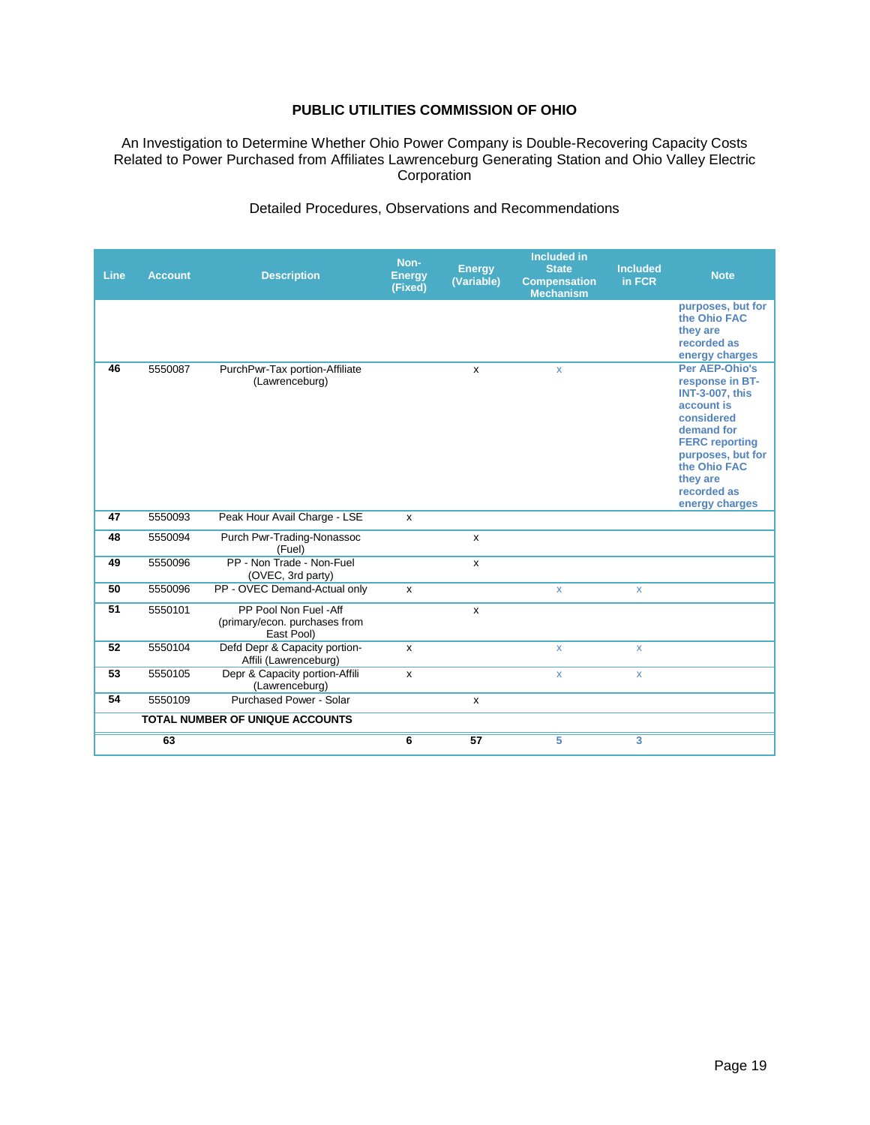An Investigation to Determine Whether Ohio Power Company is Double-Recovering Capacity Costs Related to Power Purchased from Affiliates Lawrenceburg Generating Station and Ohio Valley Electric Corporation

| Detailed Procedures, Observations and Recommendations |  |  |  |  |
|-------------------------------------------------------|--|--|--|--|
|-------------------------------------------------------|--|--|--|--|

| <b>Line</b> | <b>Account</b> | <b>Description</b>                                                   | Non-<br><b>Energy</b><br>(Fixed) | <b>Energy</b><br>(Variable) | <b>Included in</b><br><b>State</b><br><b>Compensation</b><br><b>Mechanism</b> | <b>Included</b><br>in FCR | <b>Note</b>                                                                                                                                                                                                      |
|-------------|----------------|----------------------------------------------------------------------|----------------------------------|-----------------------------|-------------------------------------------------------------------------------|---------------------------|------------------------------------------------------------------------------------------------------------------------------------------------------------------------------------------------------------------|
|             |                |                                                                      |                                  |                             |                                                                               |                           | purposes, but for<br>the Ohio FAC<br>they are<br>recorded as<br>energy charges                                                                                                                                   |
| 46          | 5550087        | PurchPwr-Tax portion-Affiliate<br>(Lawrenceburg)                     |                                  | X                           | X                                                                             |                           | Per AEP-Ohio's<br>response in BT-<br><b>INT-3-007, this</b><br>account is<br>considered<br>demand for<br><b>FERC</b> reporting<br>purposes, but for<br>the Ohio FAC<br>they are<br>recorded as<br>energy charges |
| 47          | 5550093        | Peak Hour Avail Charge - LSE                                         | x                                |                             |                                                                               |                           |                                                                                                                                                                                                                  |
| 48          | 5550094        | Purch Pwr-Trading-Nonassoc<br>(Fuel)                                 |                                  | X                           |                                                                               |                           |                                                                                                                                                                                                                  |
| 49          | 5550096        | PP - Non Trade - Non-Fuel<br>(OVEC, 3rd party)                       |                                  | $\mathsf{x}$                |                                                                               |                           |                                                                                                                                                                                                                  |
| 50          | 5550096        | PP - OVEC Demand-Actual only                                         | $\pmb{\times}$                   |                             | X                                                                             | $\pmb{\mathsf{X}}$        |                                                                                                                                                                                                                  |
| 51          | 5550101        | PP Pool Non Fuel -Aff<br>(primary/econ. purchases from<br>East Pool) |                                  | $\mathsf{x}$                |                                                                               |                           |                                                                                                                                                                                                                  |
| 52          | 5550104        | Defd Depr & Capacity portion-<br>Affili (Lawrenceburg)               | X                                |                             | $\mathsf{x}$                                                                  | $\pmb{\mathsf{X}}$        |                                                                                                                                                                                                                  |
| 53          | 5550105        | Depr & Capacity portion-Affili<br>(Lawrenceburg)                     | x                                |                             | X                                                                             | $\mathsf{x}$              |                                                                                                                                                                                                                  |
| 54          | 5550109        | <b>Purchased Power - Solar</b>                                       |                                  | $\mathsf{x}$                |                                                                               |                           |                                                                                                                                                                                                                  |
|             |                | <b>TOTAL NUMBER OF UNIQUE ACCOUNTS</b>                               |                                  |                             |                                                                               |                           |                                                                                                                                                                                                                  |
|             | 63             |                                                                      | 6                                | 57                          | 5                                                                             | 3                         |                                                                                                                                                                                                                  |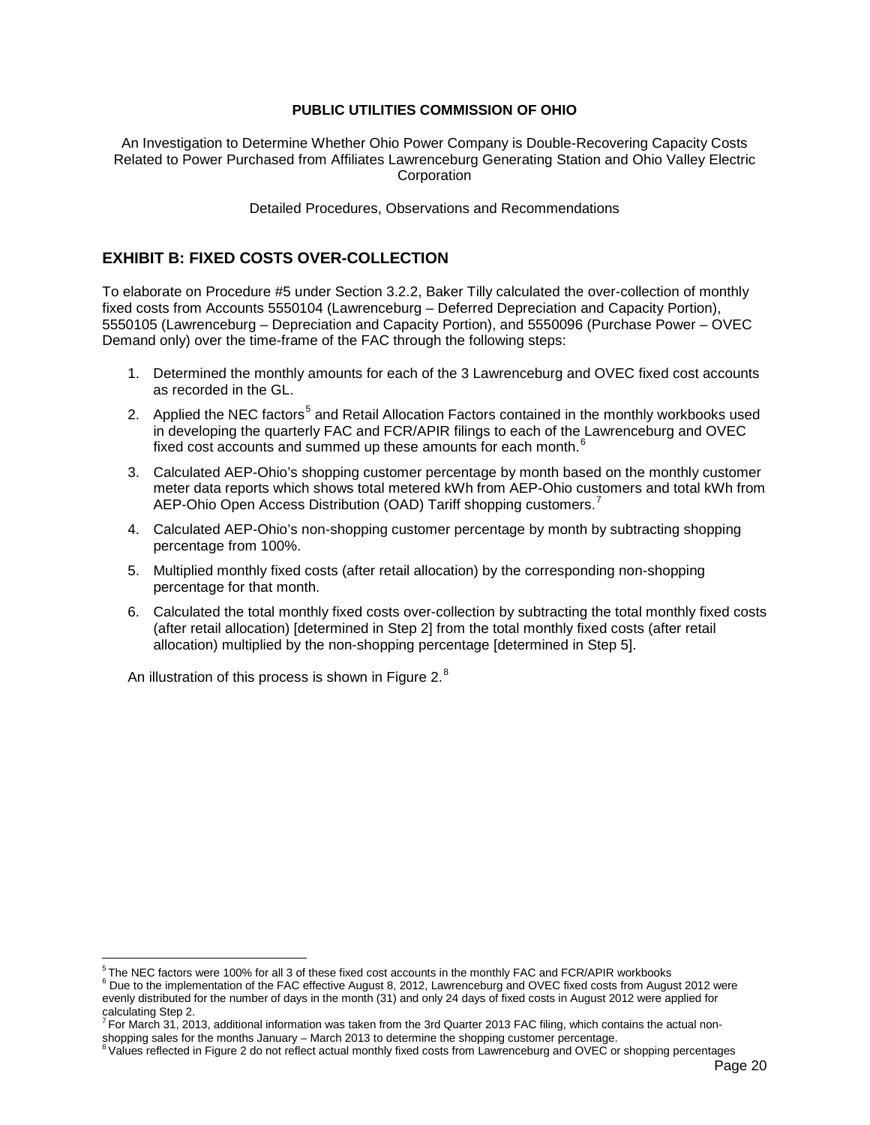An Investigation to Determine Whether Ohio Power Company is Double-Recovering Capacity Costs Related to Power Purchased from Affiliates Lawrenceburg Generating Station and Ohio Valley Electric **Corporation** 

Detailed Procedures, Observations and Recommendations

## **EXHIBIT B: FIXED COSTS OVER-COLLECTION**

To elaborate on Procedure #5 under Section 3.2.2, Baker Tilly calculated the over-collection of monthly fixed costs from Accounts 5550104 (Lawrenceburg – Deferred Depreciation and Capacity Portion), 5550105 (Lawrenceburg – Depreciation and Capacity Portion), and 5550096 (Purchase Power – OVEC Demand only) over the time-frame of the FAC through the following steps:

- 1. Determined the monthly amounts for each of the 3 Lawrenceburg and OVEC fixed cost accounts as recorded in the GL.
- 2. Applied the NEC factors<sup>[5](#page-21-3)</sup> and Retail Allocation Factors contained in the monthly workbooks used in developing the quarterly FAC and FCR/APIR filings to each of the Lawrenceburg and OVEC fixed cost accounts and summed up these amounts for each month.<sup>[6](#page-21-2)</sup>
- 3. Calculated AEP-Ohio's shopping customer percentage by month based on the monthly customer meter data reports which shows total metered kWh from AEP-Ohio customers and total kWh from AEP-Ohio Open Access Distribution (OAD) Tariff shopping customers.<sup>[7](#page-21-0)</sup>
- 4. Calculated AEP-Ohio's non-shopping customer percentage by month by subtracting shopping percentage from 100%.
- 5. Multiplied monthly fixed costs (after retail allocation) by the corresponding non-shopping percentage for that month.
- 6. Calculated the total monthly fixed costs over-collection by subtracting the total monthly fixed costs (after retail allocation) [determined in Step 2] from the total monthly fixed costs (after retail allocation) multiplied by the non-shopping percentage [determined in Step 5].

An illustration of this process is shown in [Figure 2.](#page-22-0) $^8$  $^8$ 

<sup>&</sup>lt;sup>5</sup> The NEC factors were 100% for all 3 of these fixed cost accounts in the monthly FAC and FCR/APIR workbooks

<span id="page-21-3"></span><span id="page-21-2"></span><sup>&</sup>lt;sup>6</sup> Due to the implementation of the FAC effective August 8, 2012, Lawrenceburg and OVEC fixed costs from August 2012 were evenly distributed for the number of days in the month (31) and only 24 days of fixed costs in August 2012 were applied for calculating Step 2.

<span id="page-21-0"></span> $^7$  For March 31, 2013, additional information was taken from the 3rd Quarter 2013 FAC filing, which contains the actual non-<br>shopping sales for the months January – March 2013 to determine the shopping customer percenta

<span id="page-21-1"></span> $8$  Values reflected in Figure 2 do not reflect actual monthly fixed costs from Lawrenceburg and OVEC or shopping percentages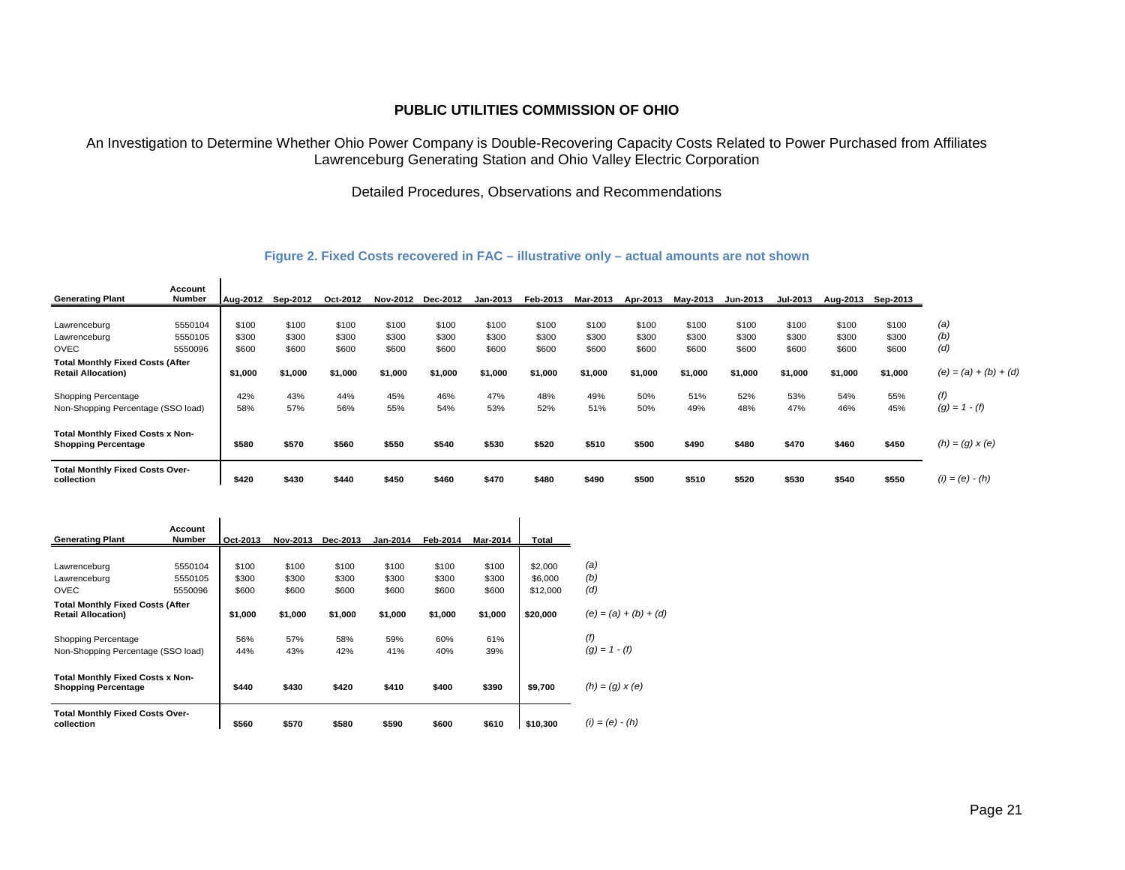An Investigation to Determine Whether Ohio Power Company is Double-Recovering Capacity Costs Related to Power Purchased from Affiliates Lawrenceburg Generating Station and Ohio Valley Electric Corporation

Detailed Procedures, Observations and Recommendations

#### **Figure 2. Fixed Costs recovered in FAC – illustrative only – actual amounts are not shown**

|                                         | Account |          |          |          |                 |                 |          |                 |          |          |          |                 |                 |          |          |                         |
|-----------------------------------------|---------|----------|----------|----------|-----------------|-----------------|----------|-----------------|----------|----------|----------|-----------------|-----------------|----------|----------|-------------------------|
| <b>Generating Plant</b>                 | Number  | Aug-2012 | Sep-2012 | Oct-2012 | <b>Nov-2012</b> | <b>Dec-2012</b> | Jan-2013 | <b>Feb-2013</b> | Mar-2013 | Apr-2013 | Mav-2013 | <b>Jun-2013</b> | <b>Jul-2013</b> | Aug-2013 | Sep-2013 |                         |
|                                         |         |          |          |          |                 |                 |          |                 |          |          |          |                 |                 |          |          |                         |
| Lawrenceburg                            | 5550104 | \$100    | \$100    | \$100    | \$100           | \$100           | \$100    | \$100           | \$100    | \$100    | \$100    | \$100           | \$100           | \$100    | \$100    | (a)                     |
| Lawrenceburg                            | 5550105 | \$300    | \$300    | \$300    | \$300           | \$300           | \$300    | \$300           | \$300    | \$300    | \$300    | \$300           | \$300           | \$300    | \$300    | (b)                     |
| <b>OVEC</b>                             | 5550096 | \$600    | \$600    | \$600    | \$600           | \$600           | \$600    | \$600           | \$600    | \$600    | \$600    | \$600           | \$600           | \$600    | \$600    | (d)                     |
| <b>Total Monthly Fixed Costs (After</b> |         |          |          |          |                 |                 |          |                 |          |          |          |                 |                 |          |          |                         |
| <b>Retail Allocation)</b>               |         | \$1.000  | \$1,000  | \$1,000  | \$1,000         | \$1,000         | \$1,000  | \$1,000         | \$1,000  | \$1,000  | \$1,000  | \$1,000         | \$1,000         | \$1,000  | \$1,000  | $(e) = (a) + (b) + (d)$ |
| Shopping Percentage                     |         | 42%      | 43%      | 44%      | 45%             | 46%             | 47%      | 48%             | 49%      | 50%      | 51%      | 52%             | 53%             | 54%      | 55%      | (f)                     |
| Non-Shopping Percentage (SSO load)      |         | 58%      | 57%      | 56%      | 55%             | 54%             | 53%      | 52%             | 51%      | 50%      | 49%      | 48%             | 47%             | 46%      | 45%      | $(g) = 1 - (f)$         |
| <b>Total Monthly Fixed Costs x Non-</b> |         |          |          |          |                 |                 |          |                 |          |          |          |                 |                 |          |          |                         |
| <b>Shopping Percentage</b>              |         | \$580    | \$570    | \$560    | \$550           | \$540           | \$530    | \$520           | \$510    | \$500    | \$490    | \$480           | \$470           | \$460    | \$450    | $(h) = (g) \times (e)$  |
| <b>Total Monthly Fixed Costs Over-</b>  |         |          |          |          |                 |                 |          |                 |          |          |          |                 |                 |          |          |                         |
| collection                              |         | \$420    | \$430    | \$440    | \$450           | \$460           | \$470    | \$480           | \$490    | \$500    | \$510    | \$520           | \$530           | \$540    | \$550    | $(i) = (e) - (h)$       |

<span id="page-22-0"></span>

|                                                                       | Account       |          |          |          |                 |          |          |                         |                 |
|-----------------------------------------------------------------------|---------------|----------|----------|----------|-----------------|----------|----------|-------------------------|-----------------|
| <b>Generating Plant</b>                                               | <b>Number</b> | Oct-2013 | Nov-2013 | Dec-2013 | <b>Jan-2014</b> | Feb-2014 | Mar-2014 | Total                   |                 |
|                                                                       |               |          |          |          |                 |          |          |                         |                 |
| Lawrenceburg                                                          | 5550104       | \$100    | \$100    | \$100    | \$100           | \$100    | \$100    | \$2,000                 | (a)             |
| Lawrenceburg<br>5550105                                               |               | \$300    | \$300    | \$300    | \$300           | \$300    | \$300    | \$6,000                 | (b)             |
| <b>OVEC</b>                                                           | 5550096       | \$600    | \$600    | \$600    | \$600           | \$600    | \$600    | \$12,000                | (d)             |
| <b>Total Monthly Fixed Costs (After</b><br><b>Retail Allocation)</b>  | \$1,000       | \$1,000  | \$1,000  | \$1,000  | \$1,000         | \$1,000  | \$20,000 | $(e) = (a) + (b) + (d)$ |                 |
| Shopping Percentage                                                   |               | 56%      | 57%      | 58%      | 59%             | 60%      | 61%      |                         | (f)             |
| Non-Shopping Percentage (SSO load)                                    |               | 44%      | 43%      | 42%      | 41%             | 40%      | 39%      |                         | $(q) = 1 - (f)$ |
| <b>Total Monthly Fixed Costs x Non-</b><br><b>Shopping Percentage</b> | \$440         | \$430    | \$420    | \$410    | \$400           | \$390    | \$9,700  | $(h) = (g) \times (e)$  |                 |
| <b>Total Monthly Fixed Costs Over-</b><br>collection                  | \$560         | \$570    | \$580    | \$590    | \$600           | \$610    | \$10,300 | $(i) = (e) - (h)$       |                 |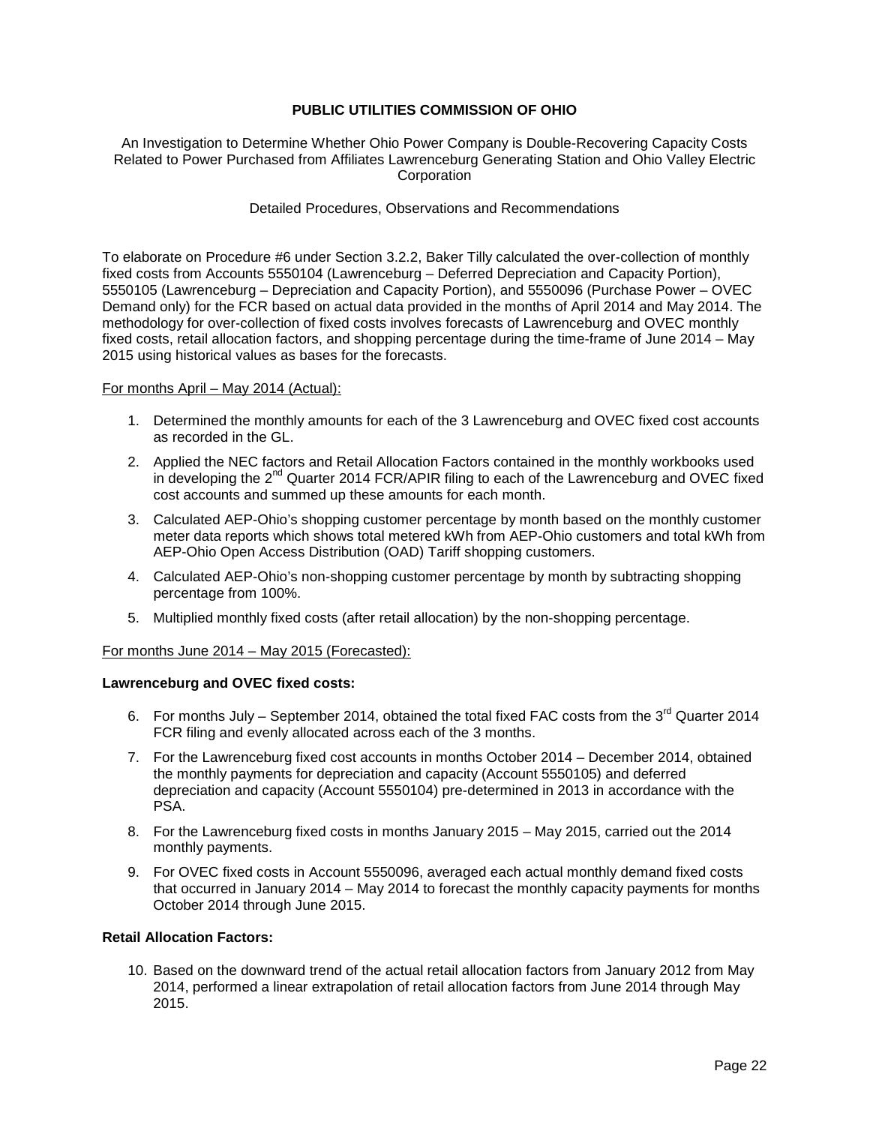An Investigation to Determine Whether Ohio Power Company is Double-Recovering Capacity Costs Related to Power Purchased from Affiliates Lawrenceburg Generating Station and Ohio Valley Electric **Corporation** 

#### Detailed Procedures, Observations and Recommendations

To elaborate on Procedure #6 under Section 3.2.2, Baker Tilly calculated the over-collection of monthly fixed costs from Accounts 5550104 (Lawrenceburg – Deferred Depreciation and Capacity Portion), 5550105 (Lawrenceburg – Depreciation and Capacity Portion), and 5550096 (Purchase Power – OVEC Demand only) for the FCR based on actual data provided in the months of April 2014 and May 2014. The methodology for over-collection of fixed costs involves forecasts of Lawrenceburg and OVEC monthly fixed costs, retail allocation factors, and shopping percentage during the time-frame of June 2014 – May 2015 using historical values as bases for the forecasts.

#### For months April – May 2014 (Actual):

- 1. Determined the monthly amounts for each of the 3 Lawrenceburg and OVEC fixed cost accounts as recorded in the GL.
- 2. Applied the NEC factors and Retail Allocation Factors contained in the monthly workbooks used in developing the 2<sup>nd</sup> Quarter 2014 FCR/APIR filing to each of the Lawrenceburg and OVEC fixed cost accounts and summed up these amounts for each month.
- 3. Calculated AEP-Ohio's shopping customer percentage by month based on the monthly customer meter data reports which shows total metered kWh from AEP-Ohio customers and total kWh from AEP-Ohio Open Access Distribution (OAD) Tariff shopping customers.
- 4. Calculated AEP-Ohio's non-shopping customer percentage by month by subtracting shopping percentage from 100%.
- 5. Multiplied monthly fixed costs (after retail allocation) by the non-shopping percentage.

#### For months June 2014 – May 2015 (Forecasted):

#### **Lawrenceburg and OVEC fixed costs:**

- 6. For months July September 2014, obtained the total fixed FAC costs from the 3 $^{\text{rd}}$  Quarter 2014 FCR filing and evenly allocated across each of the 3 months.
- 7. For the Lawrenceburg fixed cost accounts in months October 2014 December 2014, obtained the monthly payments for depreciation and capacity (Account 5550105) and deferred depreciation and capacity (Account 5550104) pre-determined in 2013 in accordance with the PSA.
- 8. For the Lawrenceburg fixed costs in months January 2015 May 2015, carried out the 2014 monthly payments.
- 9. For OVEC fixed costs in Account 5550096, averaged each actual monthly demand fixed costs that occurred in January 2014 – May 2014 to forecast the monthly capacity payments for months October 2014 through June 2015.

#### **Retail Allocation Factors:**

10. Based on the downward trend of the actual retail allocation factors from January 2012 from May 2014, performed a linear extrapolation of retail allocation factors from June 2014 through May 2015.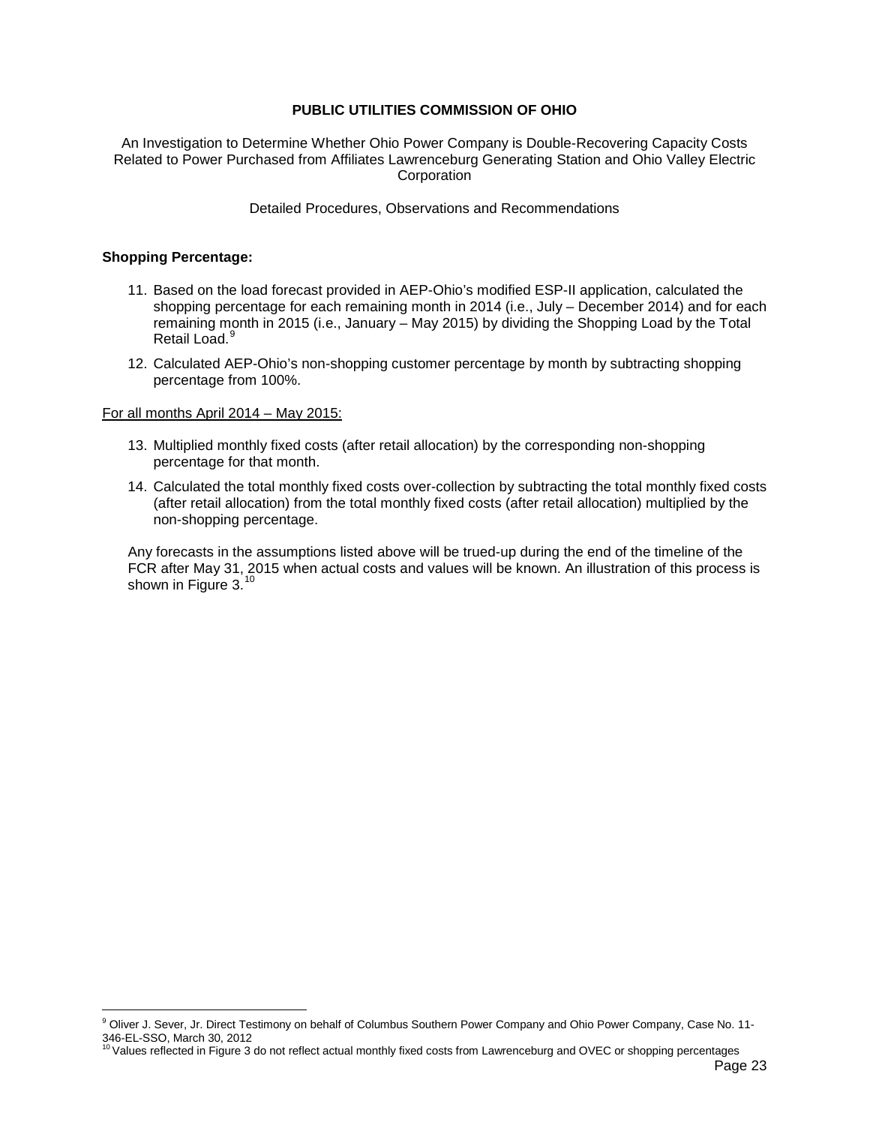An Investigation to Determine Whether Ohio Power Company is Double-Recovering Capacity Costs Related to Power Purchased from Affiliates Lawrenceburg Generating Station and Ohio Valley Electric **Corporation** 

Detailed Procedures, Observations and Recommendations

#### **Shopping Percentage:**

- 11. Based on the load forecast provided in AEP-Ohio's modified ESP-II application, calculated the shopping percentage for each remaining month in 2014 (i.e., July – December 2014) and for each remaining month in 2015 (i.e., January – May 2015) by dividing the Shopping Load by the Total Retail Load.<sup>[9](#page-24-1)</sup>
- 12. Calculated AEP-Ohio's non-shopping customer percentage by month by subtracting shopping percentage from 100%.

#### For all months April 2014 – May 2015:

- 13. Multiplied monthly fixed costs (after retail allocation) by the corresponding non-shopping percentage for that month.
- 14. Calculated the total monthly fixed costs over-collection by subtracting the total monthly fixed costs (after retail allocation) from the total monthly fixed costs (after retail allocation) multiplied by the non-shopping percentage.

Any forecasts in the assumptions listed above will be trued-up during the end of the timeline of the FCR after May 31, 2015 when actual costs and values will be known. An illustration of this process is shown in [Figure 3.](#page-25-0)<sup>[10](#page-24-0)</sup>

<span id="page-24-1"></span><sup>&</sup>lt;sup>9</sup> Oliver J. Sever, Jr. Direct Testimony on behalf of Columbus Southern Power Company and Ohio Power Company, Case No. 11-346-EL-SSO, March 30, 2012<br><sup>10</sup> Values reflected in Figure 3 do not reflect actual monthly fixed costs from Lawrenceburg and OVEC or shopping percentages

<span id="page-24-0"></span>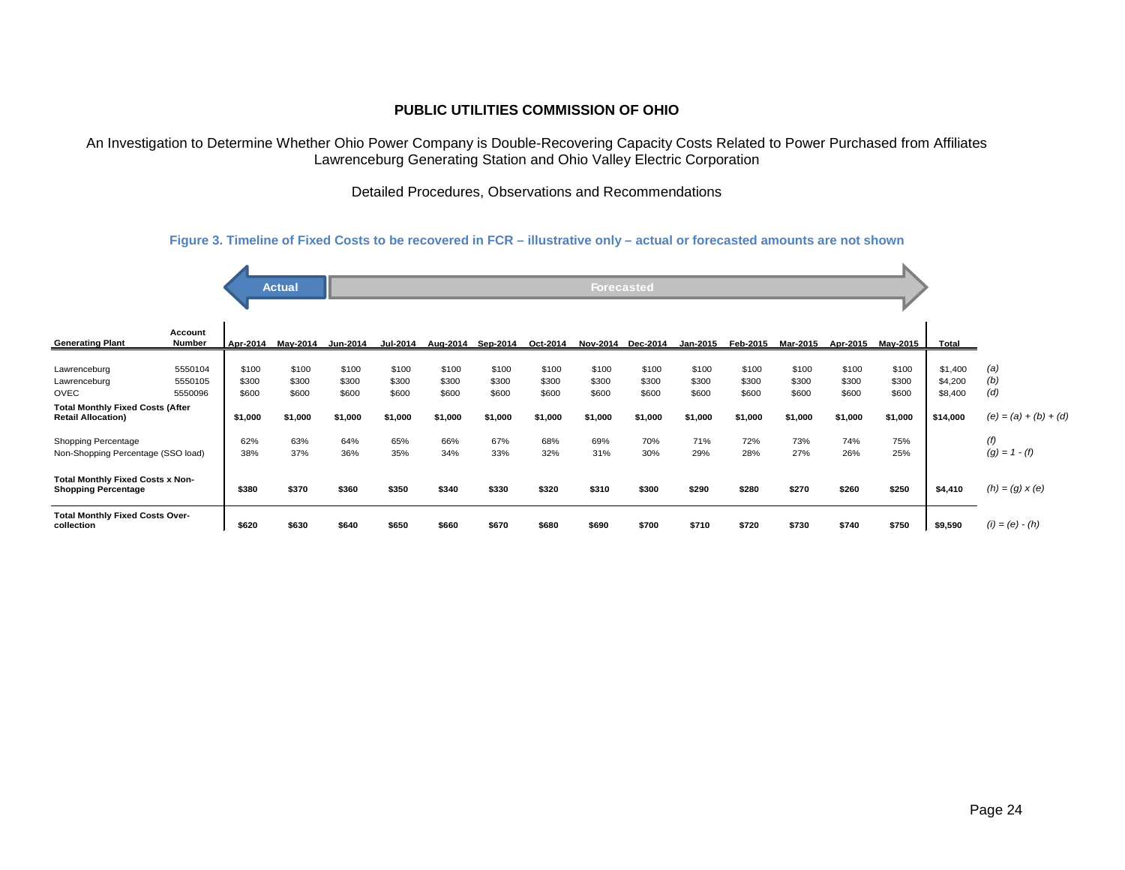An Investigation to Determine Whether Ohio Power Company is Double-Recovering Capacity Costs Related to Power Purchased from Affiliates Lawrenceburg Generating Station and Ohio Valley Electric Corporation

Detailed Procedures, Observations and Recommendations

#### **Figure 3. Timeline of Fixed Costs to be recovered in FCR – illustrative only – actual or forecasted amounts are not shown**

<span id="page-25-0"></span>

|                                                                       |                               |                         | <b>Actual</b>           |                         |                         |                         |                         |                         | <b>Forecasted</b>       |                         |                         |                         |                         |                         |                         |                               |                         |
|-----------------------------------------------------------------------|-------------------------------|-------------------------|-------------------------|-------------------------|-------------------------|-------------------------|-------------------------|-------------------------|-------------------------|-------------------------|-------------------------|-------------------------|-------------------------|-------------------------|-------------------------|-------------------------------|-------------------------|
|                                                                       |                               |                         |                         |                         |                         |                         |                         |                         |                         |                         |                         |                         |                         |                         |                         |                               |                         |
| <b>Generating Plant</b>                                               | Account<br>Number             | Apr-2014                | Mav-2014                | Jun-2014                | <b>Jul-2014</b>         | Aug-2014                | Sep-2014                | Oct-2014                |                         | Nov-2014 Dec-2014       | Jan-2015                | Feb-2015                | Mar-2015                | Apr-2015                | May-2015                | <b>Total</b>                  |                         |
| Lawrenceburg<br>Lawrenceburg<br>OVEC                                  | 5550104<br>5550105<br>5550096 | \$100<br>\$300<br>\$600 | \$100<br>\$300<br>\$600 | \$100<br>\$300<br>\$600 | \$100<br>\$300<br>\$600 | \$100<br>\$300<br>\$600 | \$100<br>\$300<br>\$600 | \$100<br>\$300<br>\$600 | \$100<br>\$300<br>\$600 | \$100<br>\$300<br>\$600 | \$100<br>\$300<br>\$600 | \$100<br>\$300<br>\$600 | \$100<br>\$300<br>\$600 | \$100<br>\$300<br>\$600 | \$100<br>\$300<br>\$600 | \$1,400<br>\$4,200<br>\$8,400 | (a)<br>(b)<br>(d)       |
| <b>Total Monthly Fixed Costs (After</b><br><b>Retail Allocation)</b>  |                               | \$1,000                 | \$1,000                 | \$1,000                 | \$1,000                 | \$1,000                 | \$1,000                 | \$1,000                 | \$1,000                 | \$1,000                 | \$1,000                 | \$1,000                 | \$1,000                 | \$1,000                 | \$1,000                 | \$14,000                      | $(e) = (a) + (b) + (d)$ |
| Shopping Percentage<br>Non-Shopping Percentage (SSO load)             |                               | 62%<br>38%              | 63%<br>37%              | 64%<br>36%              | 65%<br>35%              | 66%<br>34%              | 67%<br>33%              | 68%<br>32%              | 69%<br>31%              | 70%<br>30%              | 71%<br>29%              | 72%<br>28%              | 73%<br>27%              | 74%<br>26%              | 75%<br>25%              |                               | (f)<br>$(g) = 1 - (f)$  |
| <b>Total Monthly Fixed Costs x Non-</b><br><b>Shopping Percentage</b> |                               | \$380                   | \$370                   | \$360                   | \$350                   | \$340                   | \$330                   | \$320                   | \$310                   | \$300                   | \$290                   | \$280                   | \$270                   | \$260                   | \$250                   | \$4,410                       | $(h) = (g) \times (e)$  |
| <b>Total Monthly Fixed Costs Over-</b><br>collection                  |                               | \$620                   | \$630                   | \$640                   | \$650                   | \$660                   | \$670                   | \$680                   | \$690                   | \$700                   | \$710                   | \$720                   | \$730                   | \$740                   | \$750                   | \$9,590                       | $(i) = (e) - (h)$       |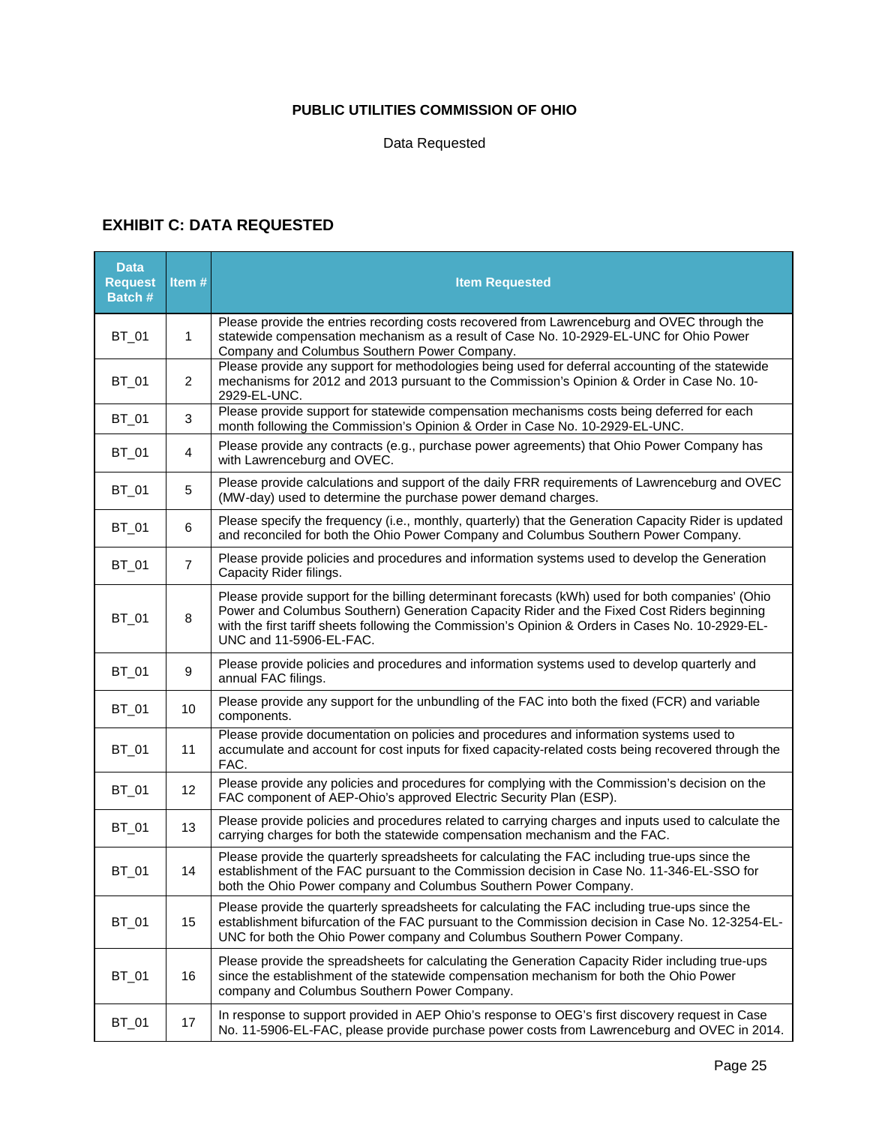Data Requested

## **EXHIBIT C: DATA REQUESTED**

 $\mathbf{r}$ 

| <b>Data</b><br><b>Request</b><br>Batch # | Item #         | <b>Item Requested</b>                                                                                                                                                                                                                                                                                                           |
|------------------------------------------|----------------|---------------------------------------------------------------------------------------------------------------------------------------------------------------------------------------------------------------------------------------------------------------------------------------------------------------------------------|
| BT_01                                    | $\mathbf{1}$   | Please provide the entries recording costs recovered from Lawrenceburg and OVEC through the<br>statewide compensation mechanism as a result of Case No. 10-2929-EL-UNC for Ohio Power<br>Company and Columbus Southern Power Company.                                                                                           |
| BT_01                                    | $\overline{2}$ | Please provide any support for methodologies being used for deferral accounting of the statewide<br>mechanisms for 2012 and 2013 pursuant to the Commission's Opinion & Order in Case No. 10-<br>2929-EL-UNC.                                                                                                                   |
| BT_01                                    | 3              | Please provide support for statewide compensation mechanisms costs being deferred for each<br>month following the Commission's Opinion & Order in Case No. 10-2929-EL-UNC.                                                                                                                                                      |
| BT_01                                    | 4              | Please provide any contracts (e.g., purchase power agreements) that Ohio Power Company has<br>with Lawrenceburg and OVEC.                                                                                                                                                                                                       |
| BT_01                                    | 5              | Please provide calculations and support of the daily FRR requirements of Lawrenceburg and OVEC<br>(MW-day) used to determine the purchase power demand charges.                                                                                                                                                                 |
| BT_01                                    | $\,6$          | Please specify the frequency (i.e., monthly, quarterly) that the Generation Capacity Rider is updated<br>and reconciled for both the Ohio Power Company and Columbus Southern Power Company.                                                                                                                                    |
| BT_01                                    | $\overline{7}$ | Please provide policies and procedures and information systems used to develop the Generation<br>Capacity Rider filings.                                                                                                                                                                                                        |
| BT_01                                    | 8              | Please provide support for the billing determinant forecasts (kWh) used for both companies' (Ohio<br>Power and Columbus Southern) Generation Capacity Rider and the Fixed Cost Riders beginning<br>with the first tariff sheets following the Commission's Opinion & Orders in Cases No. 10-2929-EL-<br>UNC and 11-5906-EL-FAC. |
| BT_01                                    | 9              | Please provide policies and procedures and information systems used to develop quarterly and<br>annual FAC filings.                                                                                                                                                                                                             |
| BT_01                                    | 10             | Please provide any support for the unbundling of the FAC into both the fixed (FCR) and variable<br>components.                                                                                                                                                                                                                  |
| BT_01                                    | 11             | Please provide documentation on policies and procedures and information systems used to<br>accumulate and account for cost inputs for fixed capacity-related costs being recovered through the<br>FAC.                                                                                                                          |
| BT_01                                    | 12             | Please provide any policies and procedures for complying with the Commission's decision on the<br>FAC component of AEP-Ohio's approved Electric Security Plan (ESP).                                                                                                                                                            |
| BT_01                                    | 13             | Please provide policies and procedures related to carrying charges and inputs used to calculate the<br>carrying charges for both the statewide compensation mechanism and the FAC.                                                                                                                                              |
| BT_01                                    | 14             | Please provide the quarterly spreadsheets for calculating the FAC including true-ups since the<br>establishment of the FAC pursuant to the Commission decision in Case No. 11-346-EL-SSO for<br>both the Ohio Power company and Columbus Southern Power Company.                                                                |
| <b>BT_01</b>                             | 15             | Please provide the quarterly spreadsheets for calculating the FAC including true-ups since the<br>establishment bifurcation of the FAC pursuant to the Commission decision in Case No. 12-3254-EL-<br>UNC for both the Ohio Power company and Columbus Southern Power Company.                                                  |
| BT_01                                    | 16             | Please provide the spreadsheets for calculating the Generation Capacity Rider including true-ups<br>since the establishment of the statewide compensation mechanism for both the Ohio Power<br>company and Columbus Southern Power Company.                                                                                     |
| BT_01                                    | 17             | In response to support provided in AEP Ohio's response to OEG's first discovery request in Case<br>No. 11-5906-EL-FAC, please provide purchase power costs from Lawrenceburg and OVEC in 2014.                                                                                                                                  |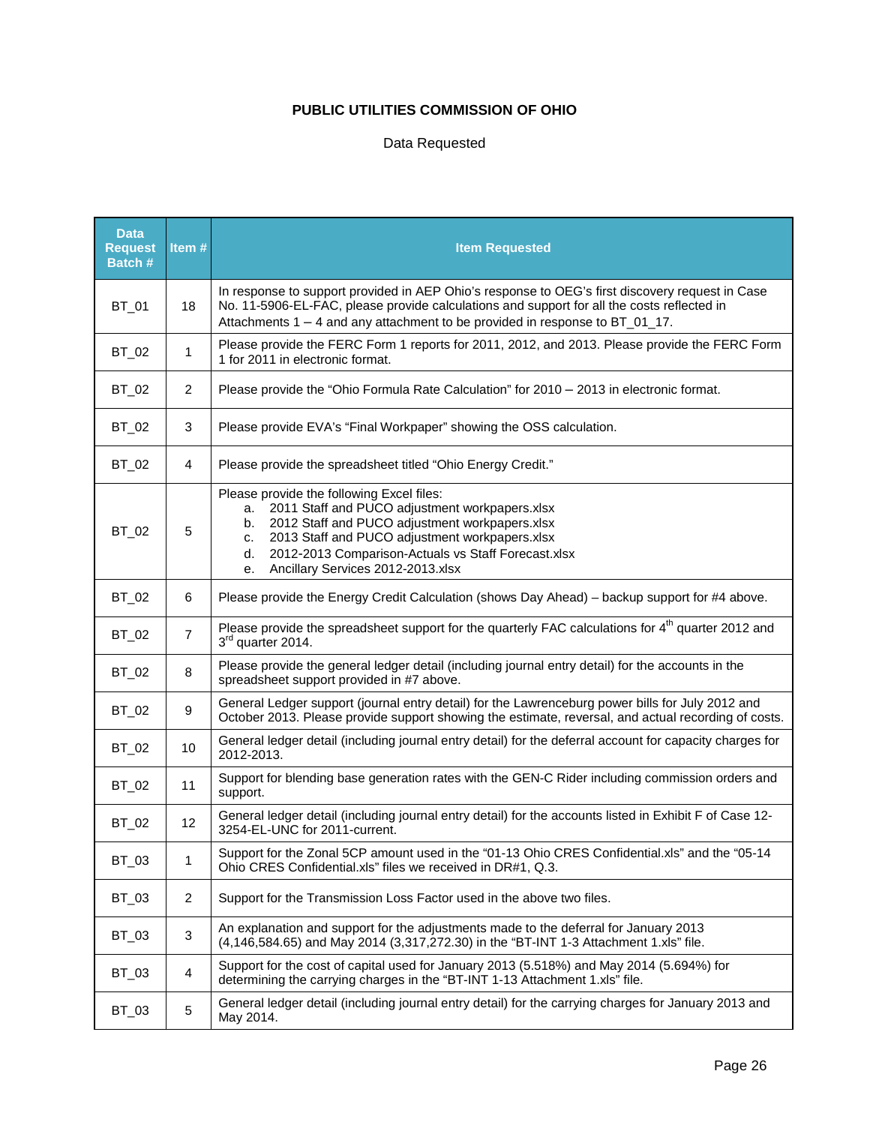## Data Requested

| <b>Data</b><br><b>Request</b><br>Batch # | Item#          | <b>Item Requested</b>                                                                                                                                                                                                                                                                                                     |
|------------------------------------------|----------------|---------------------------------------------------------------------------------------------------------------------------------------------------------------------------------------------------------------------------------------------------------------------------------------------------------------------------|
| BT_01                                    | 18             | In response to support provided in AEP Ohio's response to OEG's first discovery request in Case<br>No. 11-5906-EL-FAC, please provide calculations and support for all the costs reflected in<br>Attachments $1 - 4$ and any attachment to be provided in response to BT_01_17.                                           |
| BT_02                                    | 1              | Please provide the FERC Form 1 reports for 2011, 2012, and 2013. Please provide the FERC Form<br>1 for 2011 in electronic format.                                                                                                                                                                                         |
| BT_02                                    | $\overline{2}$ | Please provide the "Ohio Formula Rate Calculation" for 2010 - 2013 in electronic format.                                                                                                                                                                                                                                  |
| BT_02                                    | 3              | Please provide EVA's "Final Workpaper" showing the OSS calculation.                                                                                                                                                                                                                                                       |
| BT_02                                    | 4              | Please provide the spreadsheet titled "Ohio Energy Credit."                                                                                                                                                                                                                                                               |
| BT_02                                    | 5              | Please provide the following Excel files:<br>2011 Staff and PUCO adjustment workpapers.xlsx<br>a.<br>2012 Staff and PUCO adjustment workpapers.xlsx<br>b.<br>2013 Staff and PUCO adjustment workpapers.xlsx<br>c.<br>2012-2013 Comparison-Actuals vs Staff Forecast.xlsx<br>d.<br>Ancillary Services 2012-2013.xlsx<br>е. |
| BT_02                                    | 6              | Please provide the Energy Credit Calculation (shows Day Ahead) - backup support for #4 above.                                                                                                                                                                                                                             |
| BT_02                                    | $\overline{7}$ | Please provide the spreadsheet support for the quarterly FAC calculations for 4 <sup>th</sup> quarter 2012 and<br>3rd quarter 2014.                                                                                                                                                                                       |
| BT_02                                    | 8              | Please provide the general ledger detail (including journal entry detail) for the accounts in the<br>spreadsheet support provided in #7 above.                                                                                                                                                                            |
| BT_02                                    | 9              | General Ledger support (journal entry detail) for the Lawrenceburg power bills for July 2012 and<br>October 2013. Please provide support showing the estimate, reversal, and actual recording of costs.                                                                                                                   |
| BT_02                                    | 10             | General ledger detail (including journal entry detail) for the deferral account for capacity charges for<br>2012-2013.                                                                                                                                                                                                    |
| BT_02                                    | 11             | Support for blending base generation rates with the GEN-C Rider including commission orders and<br>support.                                                                                                                                                                                                               |
| BT_02                                    | 12             | General ledger detail (including journal entry detail) for the accounts listed in Exhibit F of Case 12-<br>3254-EL-UNC for 2011-current.                                                                                                                                                                                  |
| BT_03                                    | 1              | Support for the Zonal 5CP amount used in the "01-13 Ohio CRES Confidential.xls" and the "05-14<br>Ohio CRES Confidential.xls" files we received in DR#1, Q.3.                                                                                                                                                             |
| BT_03                                    | $\overline{2}$ | Support for the Transmission Loss Factor used in the above two files.                                                                                                                                                                                                                                                     |
| BT_03                                    | $\mathbf{3}$   | An explanation and support for the adjustments made to the deferral for January 2013<br>(4,146,584.65) and May 2014 (3,317,272.30) in the "BT-INT 1-3 Attachment 1.xls" file.                                                                                                                                             |
| BT_03                                    | $\overline{4}$ | Support for the cost of capital used for January 2013 (5.518%) and May 2014 (5.694%) for<br>determining the carrying charges in the "BT-INT 1-13 Attachment 1.xls" file.                                                                                                                                                  |
| BT_03                                    | $\sqrt{5}$     | General ledger detail (including journal entry detail) for the carrying charges for January 2013 and<br>May 2014.                                                                                                                                                                                                         |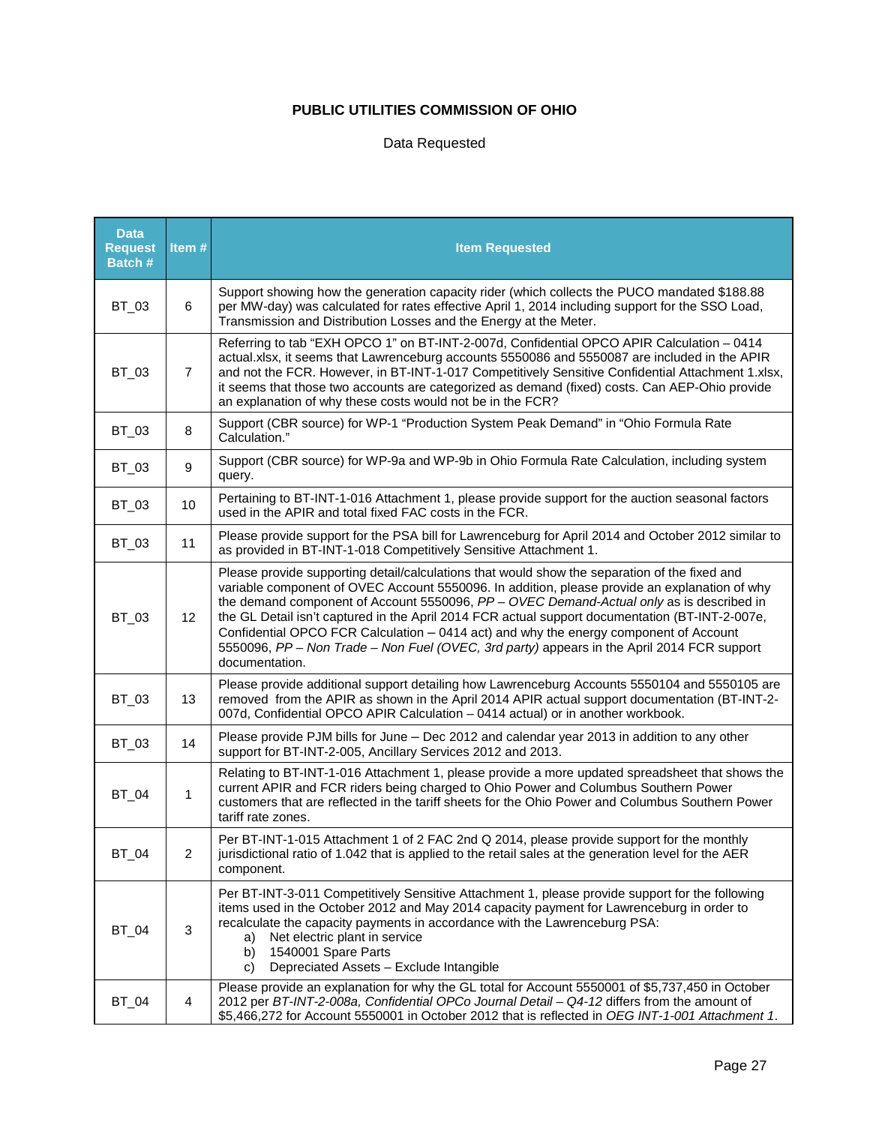## Data Requested

| <b>Data</b><br><b>Request</b><br>Batch # | Item#           | <b>Item Requested</b>                                                                                                                                                                                                                                                                                                                                                                                                                                                                                                                                                                                    |
|------------------------------------------|-----------------|----------------------------------------------------------------------------------------------------------------------------------------------------------------------------------------------------------------------------------------------------------------------------------------------------------------------------------------------------------------------------------------------------------------------------------------------------------------------------------------------------------------------------------------------------------------------------------------------------------|
| BT_03                                    | 6               | Support showing how the generation capacity rider (which collects the PUCO mandated \$188.88<br>per MW-day) was calculated for rates effective April 1, 2014 including support for the SSO Load,<br>Transmission and Distribution Losses and the Energy at the Meter.                                                                                                                                                                                                                                                                                                                                    |
| BT_03                                    | $\overline{7}$  | Referring to tab "EXH OPCO 1" on BT-INT-2-007d, Confidential OPCO APIR Calculation - 0414<br>actual.xlsx, it seems that Lawrenceburg accounts 5550086 and 5550087 are included in the APIR<br>and not the FCR. However, in BT-INT-1-017 Competitively Sensitive Confidential Attachment 1.xlsx,<br>it seems that those two accounts are categorized as demand (fixed) costs. Can AEP-Ohio provide<br>an explanation of why these costs would not be in the FCR?                                                                                                                                          |
| BT_03                                    | 8               | Support (CBR source) for WP-1 "Production System Peak Demand" in "Ohio Formula Rate<br>Calculation."                                                                                                                                                                                                                                                                                                                                                                                                                                                                                                     |
| BT_03                                    | 9               | Support (CBR source) for WP-9a and WP-9b in Ohio Formula Rate Calculation, including system<br>query.                                                                                                                                                                                                                                                                                                                                                                                                                                                                                                    |
| BT_03                                    | 10              | Pertaining to BT-INT-1-016 Attachment 1, please provide support for the auction seasonal factors<br>used in the APIR and total fixed FAC costs in the FCR.                                                                                                                                                                                                                                                                                                                                                                                                                                               |
| BT_03                                    | 11              | Please provide support for the PSA bill for Lawrenceburg for April 2014 and October 2012 similar to<br>as provided in BT-INT-1-018 Competitively Sensitive Attachment 1.                                                                                                                                                                                                                                                                                                                                                                                                                                 |
| BT_03                                    | 12 <sup>°</sup> | Please provide supporting detail/calculations that would show the separation of the fixed and<br>variable component of OVEC Account 5550096. In addition, please provide an explanation of why<br>the demand component of Account 5550096, $PP - OVEC$ Demand-Actual only as is described in<br>the GL Detail isn't captured in the April 2014 FCR actual support documentation (BT-INT-2-007e,<br>Confidential OPCO FCR Calculation - 0414 act) and why the energy component of Account<br>5550096, PP - Non Trade - Non Fuel (OVEC, 3rd party) appears in the April 2014 FCR support<br>documentation. |
| BT_03                                    | 13              | Please provide additional support detailing how Lawrenceburg Accounts 5550104 and 5550105 are<br>removed from the APIR as shown in the April 2014 APIR actual support documentation (BT-INT-2-<br>007d, Confidential OPCO APIR Calculation - 0414 actual) or in another workbook.                                                                                                                                                                                                                                                                                                                        |
| BT_03                                    | 14              | Please provide PJM bills for June - Dec 2012 and calendar year 2013 in addition to any other<br>support for BT-INT-2-005, Ancillary Services 2012 and 2013.                                                                                                                                                                                                                                                                                                                                                                                                                                              |
| <b>BT_04</b>                             | 1               | Relating to BT-INT-1-016 Attachment 1, please provide a more updated spreadsheet that shows the<br>current APIR and FCR riders being charged to Ohio Power and Columbus Southern Power<br>customers that are reflected in the tariff sheets for the Ohio Power and Columbus Southern Power<br>tariff rate zones.                                                                                                                                                                                                                                                                                         |
| <b>BT_04</b>                             | 2               | Per BT-INT-1-015 Attachment 1 of 2 FAC 2nd Q 2014, please provide support for the monthly<br>jurisdictional ratio of 1.042 that is applied to the retail sales at the generation level for the AER<br>component.                                                                                                                                                                                                                                                                                                                                                                                         |
| <b>BT_04</b>                             | 3               | Per BT-INT-3-011 Competitively Sensitive Attachment 1, please provide support for the following<br>items used in the October 2012 and May 2014 capacity payment for Lawrenceburg in order to<br>recalculate the capacity payments in accordance with the Lawrenceburg PSA:<br>Net electric plant in service<br>a)<br>1540001 Spare Parts<br>b)<br>Depreciated Assets - Exclude Intangible<br>C)                                                                                                                                                                                                          |
| BT_04                                    | 4               | Please provide an explanation for why the GL total for Account 5550001 of \$5,737,450 in October<br>2012 per BT-INT-2-008a, Confidential OPCo Journal Detail - Q4-12 differs from the amount of<br>\$5,466,272 for Account 5550001 in October 2012 that is reflected in OEG INT-1-001 Attachment 1.                                                                                                                                                                                                                                                                                                      |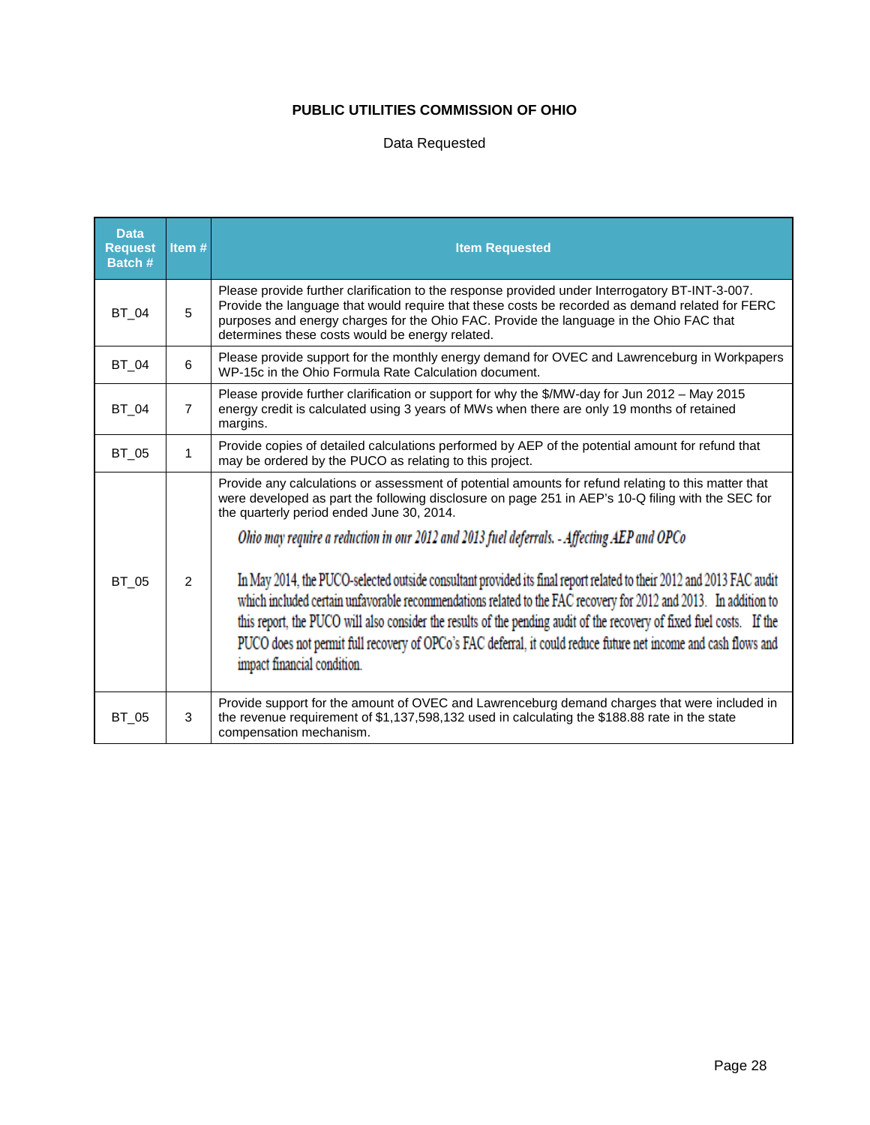## Data Requested

| <b>Data</b><br><b>Request</b><br>Batch# | Item#          | <b>Item Requested</b>                                                                                                                                                                                                                                                                                                                                                                                                                                                                                                                                                                                                                                                                                                                                                                                                                                                      |
|-----------------------------------------|----------------|----------------------------------------------------------------------------------------------------------------------------------------------------------------------------------------------------------------------------------------------------------------------------------------------------------------------------------------------------------------------------------------------------------------------------------------------------------------------------------------------------------------------------------------------------------------------------------------------------------------------------------------------------------------------------------------------------------------------------------------------------------------------------------------------------------------------------------------------------------------------------|
| BT 04                                   | 5              | Please provide further clarification to the response provided under Interrogatory BT-INT-3-007.<br>Provide the language that would require that these costs be recorded as demand related for FERC<br>purposes and energy charges for the Ohio FAC. Provide the language in the Ohio FAC that<br>determines these costs would be energy related.                                                                                                                                                                                                                                                                                                                                                                                                                                                                                                                           |
| <b>BT_04</b>                            | 6              | Please provide support for the monthly energy demand for OVEC and Lawrenceburg in Workpapers<br>WP-15c in the Ohio Formula Rate Calculation document.                                                                                                                                                                                                                                                                                                                                                                                                                                                                                                                                                                                                                                                                                                                      |
| BT 04                                   | $\overline{7}$ | Please provide further clarification or support for why the \$/MW-day for Jun 2012 - May 2015<br>energy credit is calculated using 3 years of MWs when there are only 19 months of retained<br>margins.                                                                                                                                                                                                                                                                                                                                                                                                                                                                                                                                                                                                                                                                    |
| BT_05                                   | 1              | Provide copies of detailed calculations performed by AEP of the potential amount for refund that<br>may be ordered by the PUCO as relating to this project.                                                                                                                                                                                                                                                                                                                                                                                                                                                                                                                                                                                                                                                                                                                |
| <b>BT_05</b>                            | $\mathcal{P}$  | Provide any calculations or assessment of potential amounts for refund relating to this matter that<br>were developed as part the following disclosure on page 251 in AEP's 10-Q filing with the SEC for<br>the quarterly period ended June 30, 2014.<br>Ohio may require a reduction in our 2012 and 2013 fuel deferrals. - Affecting AEP and OPCo<br>In May 2014, the PUCO-selected outside consultant provided its final report related to their 2012 and 2013 FAC audit<br>which included certain unfavorable recommendations related to the FAC recovery for 2012 and 2013. In addition to<br>this report, the PUCO will also consider the results of the pending audit of the recovery of fixed fuel costs. If the<br>PUCO does not permit full recovery of OPCo's FAC deferral, it could reduce future net income and cash flows and<br>impact financial condition. |
| BT 05                                   | 3              | Provide support for the amount of OVEC and Lawrenceburg demand charges that were included in<br>the revenue requirement of \$1,137,598,132 used in calculating the \$188.88 rate in the state<br>compensation mechanism.                                                                                                                                                                                                                                                                                                                                                                                                                                                                                                                                                                                                                                                   |